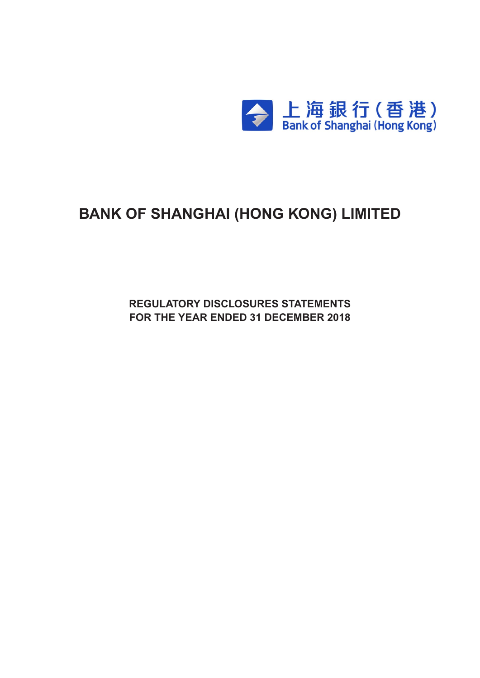

# **BANK OF SHANGHAI (HONG KONG) LIMITED**

**Regulatory Disclosures Statements For the Year ended 31 december 2018**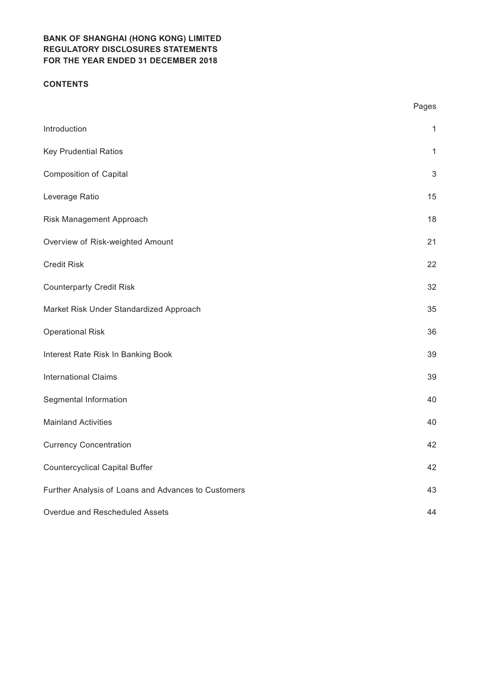### **CONTENTS**

|                                                     | Pages          |
|-----------------------------------------------------|----------------|
| Introduction                                        | $\mathbf{1}$   |
| <b>Key Prudential Ratios</b>                        | $\mathbf{1}$   |
| <b>Composition of Capital</b>                       | $\mathfrak{S}$ |
| Leverage Ratio                                      | 15             |
| Risk Management Approach                            | 18             |
| Overview of Risk-weighted Amount                    | 21             |
| <b>Credit Risk</b>                                  | 22             |
| <b>Counterparty Credit Risk</b>                     | 32             |
| Market Risk Under Standardized Approach             | 35             |
| <b>Operational Risk</b>                             | 36             |
| Interest Rate Risk In Banking Book                  | 39             |
| <b>International Claims</b>                         | 39             |
| Segmental Information                               | 40             |
| <b>Mainland Activities</b>                          | 40             |
| <b>Currency Concentration</b>                       | 42             |
| <b>Countercyclical Capital Buffer</b>               | 42             |
| Further Analysis of Loans and Advances to Customers | 43             |
| Overdue and Rescheduled Assets                      | 44             |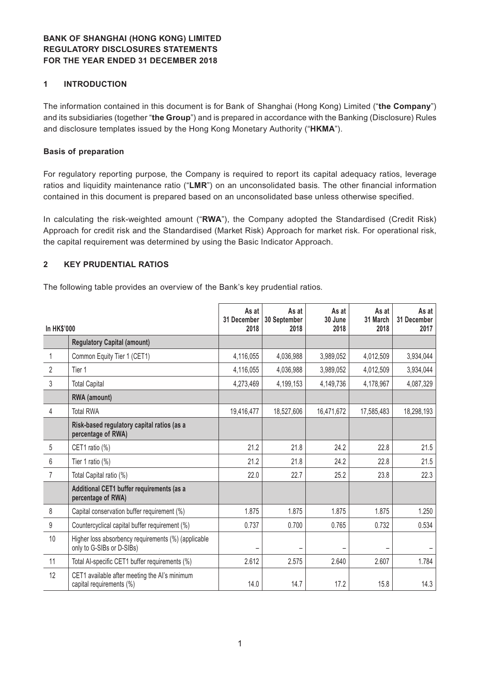### **1 INTRODUCTION**

The information contained in this document is for Bank of Shanghai (Hong Kong) Limited ("**the Company**") and its subsidiaries (together "**the Group**") and is prepared in accordance with the Banking (Disclosure) Rules and disclosure templates issued by the Hong Kong Monetary Authority ("**HKMA**").

#### **Basis of preparation**

For regulatory reporting purpose, the Company is required to report its capital adequacy ratios, leverage ratios and liquidity maintenance ratio ("**LMR**") on an unconsolidated basis. The other financial information contained in this document is prepared based on an unconsolidated base unless otherwise specified.

In calculating the risk-weighted amount ("**RWA**"), the Company adopted the Standardised (Credit Risk) Approach for credit risk and the Standardised (Market Risk) Approach for market risk. For operational risk, the capital requirement was determined by using the Basic Indicator Approach.

#### **2 KEY PRUDENTIAL RATIOS**

The following table provides an overview of the Bank's key prudential ratios.

| <b>In HK\$'000</b> |                                                                                  | As at<br>31 December<br>2018 | As at<br>30 September<br>2018 | As at<br>30 June<br>2018 | As at<br>31 March<br>2018 | As at<br>31 December<br>2017 |
|--------------------|----------------------------------------------------------------------------------|------------------------------|-------------------------------|--------------------------|---------------------------|------------------------------|
|                    | <b>Regulatory Capital (amount)</b>                                               |                              |                               |                          |                           |                              |
| 1                  | Common Equity Tier 1 (CET1)                                                      | 4,116,055                    | 4,036,988                     | 3,989,052                | 4,012,509                 | 3,934,044                    |
| $\overline{2}$     | Tier 1                                                                           | 4,116,055                    | 4,036,988                     | 3,989,052                | 4,012,509                 | 3,934,044                    |
| 3                  | <b>Total Capital</b>                                                             | 4,273,469                    | 4,199,153                     | 4,149,736                | 4,178,967                 | 4,087,329                    |
|                    | RWA (amount)                                                                     |                              |                               |                          |                           |                              |
| 4                  | <b>Total RWA</b>                                                                 | 19,416,477                   | 18,527,606                    | 16,471,672               | 17,585,483                | 18,298,193                   |
|                    | Risk-based regulatory capital ratios (as a<br>percentage of RWA)                 |                              |                               |                          |                           |                              |
| 5                  | CET1 ratio (%)                                                                   | 21.2                         | 21.8                          | 24.2                     | 22.8                      | 21.5                         |
| $6\phantom{1}6$    | Tier 1 ratio (%)                                                                 | 21.2                         | 21.8                          | 24.2                     | 22.8                      | 21.5                         |
| $\overline{7}$     | Total Capital ratio (%)                                                          | 22.0                         | 22.7                          | 25.2                     | 23.8                      | 22.3                         |
|                    | Additional CET1 buffer requirements (as a<br>percentage of RWA)                  |                              |                               |                          |                           |                              |
| 8                  | Capital conservation buffer requirement (%)                                      | 1.875                        | 1.875                         | 1.875                    | 1.875                     | 1.250                        |
| 9                  | Countercyclical capital buffer requirement (%)                                   | 0.737                        | 0.700                         | 0.765                    | 0.732                     | 0.534                        |
| 10                 | Higher loss absorbency requirements (%) (applicable<br>only to G-SIBs or D-SIBs) |                              |                               |                          |                           |                              |
| 11                 | Total Al-specific CET1 buffer requirements (%)                                   | 2.612                        | 2.575                         | 2.640                    | 2.607                     | 1.784                        |
| 12                 | CET1 available after meeting the AI's minimum<br>capital requirements (%)        | 14.0                         | 14.7                          | 17.2                     | 15.8                      | 14.3                         |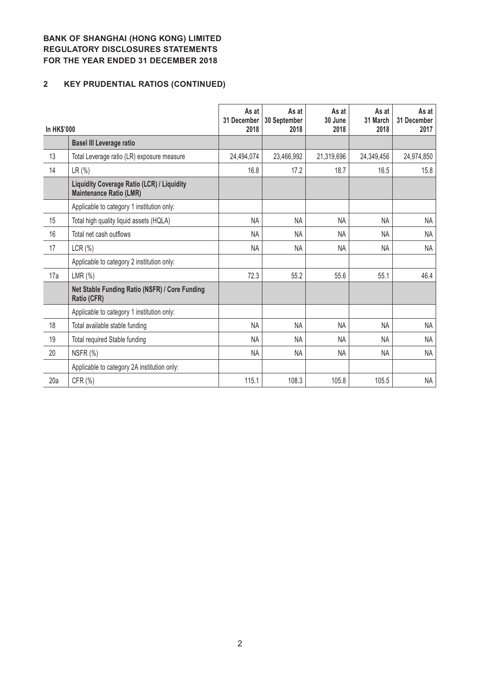# **2 KEY PRUDENTIAL RATIOS (CONTINUED)**

| <b>In HK\$'000</b> |                                                                                     | As at<br>31 December<br>2018 | As at<br>30 September<br>2018 | As at<br>30 June<br>2018 | As at<br>31 March<br>2018 | As at<br>31 December<br>2017 |
|--------------------|-------------------------------------------------------------------------------------|------------------------------|-------------------------------|--------------------------|---------------------------|------------------------------|
|                    | <b>Basel III Leverage ratio</b>                                                     |                              |                               |                          |                           |                              |
| 13                 | Total Leverage ratio (LR) exposure measure                                          | 24,494,074                   | 23,466,992                    | 21,319,696               | 24,349,456                | 24,974,850                   |
| 14                 | LR (%)                                                                              | 16.8                         | 17.2                          | 18.7                     | 16.5                      | 15.8                         |
|                    | <b>Liquidity Coverage Ratio (LCR) / Liquidity</b><br><b>Maintenance Ratio (LMR)</b> |                              |                               |                          |                           |                              |
|                    | Applicable to category 1 institution only:                                          |                              |                               |                          |                           |                              |
| 15                 | Total high quality liquid assets (HQLA)                                             | NA                           | <b>NA</b>                     | <b>NA</b>                | <b>NA</b>                 | <b>NA</b>                    |
| 16                 | Total net cash outflows                                                             | <b>NA</b>                    | <b>NA</b>                     | <b>NA</b>                | NA.                       | <b>NA</b>                    |
| 17                 | LCR(%)                                                                              | NA                           | <b>NA</b>                     | <b>NA</b>                | <b>NA</b>                 | <b>NA</b>                    |
|                    | Applicable to category 2 institution only:                                          |                              |                               |                          |                           |                              |
| 17a                | LMR $(\%)$                                                                          | 72.3                         | 55.2                          | 55.6                     | 55.1                      | 46.4                         |
|                    | Net Stable Funding Ratio (NSFR) / Core Funding<br>Ratio (CFR)                       |                              |                               |                          |                           |                              |
|                    | Applicable to category 1 institution only:                                          |                              |                               |                          |                           |                              |
| 18                 | Total available stable funding                                                      | <b>NA</b>                    | <b>NA</b>                     | <b>NA</b>                | <b>NA</b>                 | <b>NA</b>                    |
| 19                 | <b>Total required Stable funding</b>                                                | <b>NA</b>                    | <b>NA</b>                     | <b>NA</b>                | NA.                       | NA                           |
| 20                 | NSFR (%)                                                                            | <b>NA</b>                    | <b>NA</b>                     | <b>NA</b>                | NA                        | <b>NA</b>                    |
|                    | Applicable to category 2A institution only:                                         |                              |                               |                          |                           |                              |
| 20a                | CFR (%)                                                                             | 115.1                        | 108.3                         | 105.8                    | 105.5                     | <b>NA</b>                    |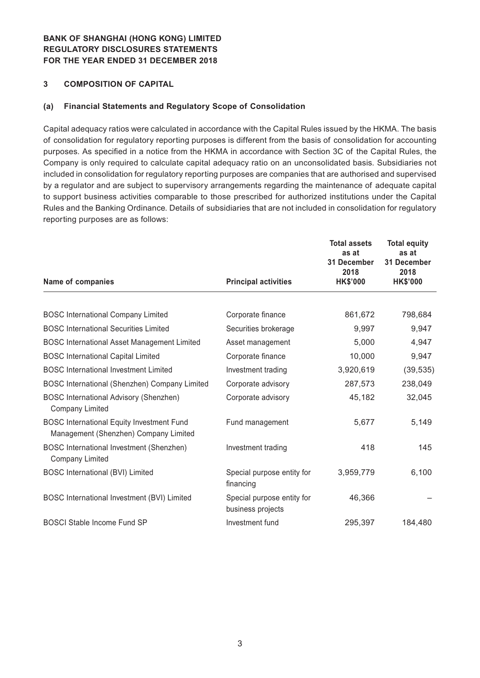#### **3 COMPOSITION OF CAPITAL**

#### **(a) Financial Statements and Regulatory Scope of Consolidation**

Capital adequacy ratios were calculated in accordance with the Capital Rules issued by the HKMA. The basis of consolidation for regulatory reporting purposes is different from the basis of consolidation for accounting purposes. As specified in a notice from the HKMA in accordance with Section 3C of the Capital Rules, the Company is only required to calculate capital adequacy ratio on an unconsolidated basis. Subsidiaries not included in consolidation for regulatory reporting purposes are companies that are authorised and supervised by a regulator and are subject to supervisory arrangements regarding the maintenance of adequate capital to support business activities comparable to those prescribed for authorized institutions under the Capital Rules and the Banking Ordinance. Details of subsidiaries that are not included in consolidation for regulatory reporting purposes are as follows:

| Name of companies                                                                         | <b>Principal activities</b>                     | <b>Total assets</b><br>as at<br>31 December<br>2018<br><b>HK\$'000</b> | <b>Total equity</b><br>as at<br>31 December<br>2018<br><b>HK\$'000</b> |
|-------------------------------------------------------------------------------------------|-------------------------------------------------|------------------------------------------------------------------------|------------------------------------------------------------------------|
|                                                                                           |                                                 |                                                                        |                                                                        |
| <b>BOSC International Company Limited</b>                                                 | Corporate finance                               | 861,672                                                                | 798,684                                                                |
| <b>BOSC International Securities Limited</b>                                              | Securities brokerage                            | 9,997                                                                  | 9,947                                                                  |
| <b>BOSC International Asset Management Limited</b>                                        | Asset management                                | 5,000                                                                  | 4,947                                                                  |
| <b>BOSC International Capital Limited</b>                                                 | Corporate finance                               | 10,000                                                                 | 9,947                                                                  |
| <b>BOSC</b> International Investment Limited                                              | Investment trading                              | 3,920,619                                                              | (39, 535)                                                              |
| BOSC International (Shenzhen) Company Limited                                             | Corporate advisory                              | 287,573                                                                | 238,049                                                                |
| <b>BOSC International Advisory (Shenzhen)</b><br><b>Company Limited</b>                   | Corporate advisory                              | 45,182                                                                 | 32,045                                                                 |
| <b>BOSC International Equity Investment Fund</b><br>Management (Shenzhen) Company Limited | Fund management                                 | 5,677                                                                  | 5,149                                                                  |
| BOSC International Investment (Shenzhen)<br><b>Company Limited</b>                        | Investment trading                              | 418                                                                    | 145                                                                    |
| <b>BOSC International (BVI) Limited</b>                                                   | Special purpose entity for<br>financing         | 3,959,779                                                              | 6,100                                                                  |
| BOSC International Investment (BVI) Limited                                               | Special purpose entity for<br>business projects | 46,366                                                                 |                                                                        |
| <b>BOSCI Stable Income Fund SP</b>                                                        | Investment fund                                 | 295,397                                                                | 184,480                                                                |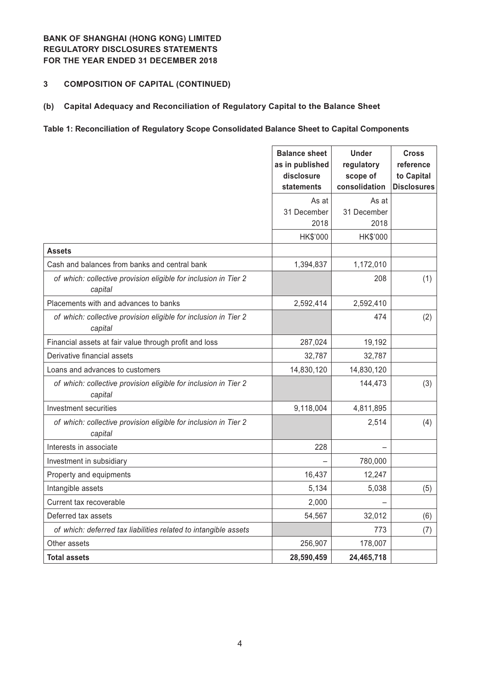### **3 COMPOSITION OF CAPITAL (CONTINUED)**

#### **(b) Capital Adequacy and Reconciliation of Regulatory Capital to the Balance Sheet**

### **Table 1: Reconciliation of Regulatory Scope Consolidated Balance Sheet to Capital Components**

|                                                                            | <b>Balance sheet</b><br>as in published<br>disclosure<br>statements | <b>Under</b><br>regulatory<br>scope of<br>consolidation | <b>Cross</b><br>reference<br>to Capital<br><b>Disclosures</b> |
|----------------------------------------------------------------------------|---------------------------------------------------------------------|---------------------------------------------------------|---------------------------------------------------------------|
|                                                                            | As at                                                               | As at                                                   |                                                               |
|                                                                            | 31 December                                                         | 31 December                                             |                                                               |
|                                                                            | 2018                                                                | 2018                                                    |                                                               |
|                                                                            | HK\$'000                                                            | HK\$'000                                                |                                                               |
| <b>Assets</b>                                                              |                                                                     |                                                         |                                                               |
| Cash and balances from banks and central bank                              | 1,394,837                                                           | 1,172,010                                               |                                                               |
| of which: collective provision eligible for inclusion in Tier 2<br>capital |                                                                     | 208                                                     | (1)                                                           |
| Placements with and advances to banks                                      | 2,592,414                                                           | 2,592,410                                               |                                                               |
| of which: collective provision eligible for inclusion in Tier 2<br>capital |                                                                     | 474                                                     | (2)                                                           |
| Financial assets at fair value through profit and loss                     | 287,024                                                             | 19,192                                                  |                                                               |
| Derivative financial assets                                                | 32,787                                                              | 32,787                                                  |                                                               |
| Loans and advances to customers                                            | 14,830,120                                                          | 14,830,120                                              |                                                               |
| of which: collective provision eligible for inclusion in Tier 2<br>capital |                                                                     | 144,473                                                 | (3)                                                           |
| <b>Investment securities</b>                                               | 9,118,004                                                           | 4,811,895                                               |                                                               |
| of which: collective provision eligible for inclusion in Tier 2<br>capital |                                                                     | 2,514                                                   | (4)                                                           |
| Interests in associate                                                     | 228                                                                 |                                                         |                                                               |
| Investment in subsidiary                                                   |                                                                     | 780,000                                                 |                                                               |
| Property and equipments                                                    | 16,437                                                              | 12,247                                                  |                                                               |
| Intangible assets                                                          | 5,134                                                               | 5,038                                                   | (5)                                                           |
| Current tax recoverable                                                    | 2,000                                                               |                                                         |                                                               |
| Deferred tax assets                                                        | 54,567                                                              | 32,012                                                  | (6)                                                           |
| of which: deferred tax liabilities related to intangible assets            |                                                                     | 773                                                     | (7)                                                           |
| Other assets                                                               | 256,907                                                             | 178,007                                                 |                                                               |
| <b>Total assets</b>                                                        | 28,590,459                                                          | 24,465,718                                              |                                                               |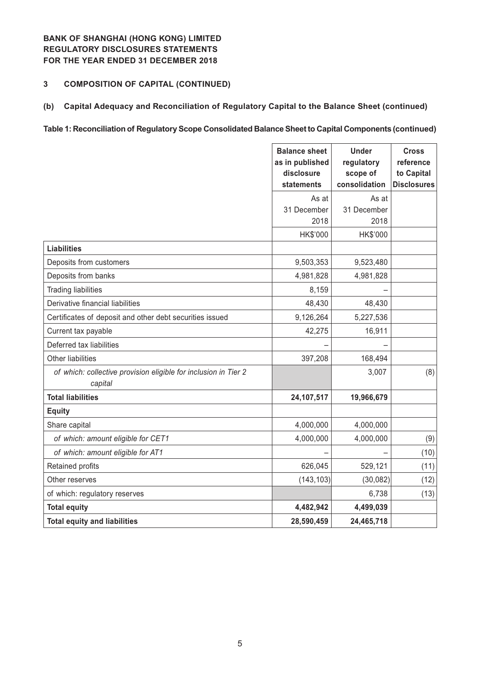### **3 COMPOSITION OF CAPITAL (CONTINUED)**

### **(b) Capital Adequacy and Reconciliation of Regulatory Capital to the Balance Sheet (continued)**

#### **Table 1: Reconciliation of Regulatory Scope Consolidated Balance Sheet to Capital Components (continued)**

|                                                                            | <b>Balance sheet</b><br>as in published<br>disclosure<br>statements | <b>Under</b><br>regulatory<br>scope of<br>consolidation | <b>Cross</b><br>reference<br>to Capital<br><b>Disclosures</b> |
|----------------------------------------------------------------------------|---------------------------------------------------------------------|---------------------------------------------------------|---------------------------------------------------------------|
|                                                                            | As at                                                               | As at                                                   |                                                               |
|                                                                            | 31 December                                                         | 31 December                                             |                                                               |
|                                                                            | 2018                                                                | 2018                                                    |                                                               |
|                                                                            | HK\$'000                                                            | HK\$'000                                                |                                                               |
| <b>Liabilities</b>                                                         |                                                                     |                                                         |                                                               |
| Deposits from customers                                                    | 9,503,353                                                           | 9,523,480                                               |                                                               |
| Deposits from banks                                                        | 4,981,828                                                           | 4,981,828                                               |                                                               |
| <b>Trading liabilities</b>                                                 | 8,159                                                               |                                                         |                                                               |
| Derivative financial liabilities                                           | 48,430                                                              | 48,430                                                  |                                                               |
| Certificates of deposit and other debt securities issued                   | 9,126,264                                                           | 5,227,536                                               |                                                               |
| Current tax payable                                                        | 42,275                                                              | 16,911                                                  |                                                               |
| Deferred tax liabilities                                                   |                                                                     |                                                         |                                                               |
| <b>Other liabilities</b>                                                   | 397,208                                                             | 168,494                                                 |                                                               |
| of which: collective provision eligible for inclusion in Tier 2<br>capital |                                                                     | 3,007                                                   | (8)                                                           |
| <b>Total liabilities</b>                                                   | 24,107,517                                                          | 19,966,679                                              |                                                               |
| <b>Equity</b>                                                              |                                                                     |                                                         |                                                               |
| Share capital                                                              | 4,000,000                                                           | 4,000,000                                               |                                                               |
| of which: amount eligible for CET1                                         | 4,000,000                                                           | 4,000,000                                               | (9)                                                           |
| of which: amount eligible for AT1                                          |                                                                     |                                                         | (10)                                                          |
| Retained profits                                                           | 626,045                                                             | 529,121                                                 | (11)                                                          |
| Other reserves                                                             | (143, 103)                                                          | (30, 082)                                               | (12)                                                          |
| of which: regulatory reserves                                              |                                                                     | 6,738                                                   | (13)                                                          |
| <b>Total equity</b>                                                        | 4,482,942                                                           | 4,499,039                                               |                                                               |
| <b>Total equity and liabilities</b>                                        | 28,590,459                                                          | 24,465,718                                              |                                                               |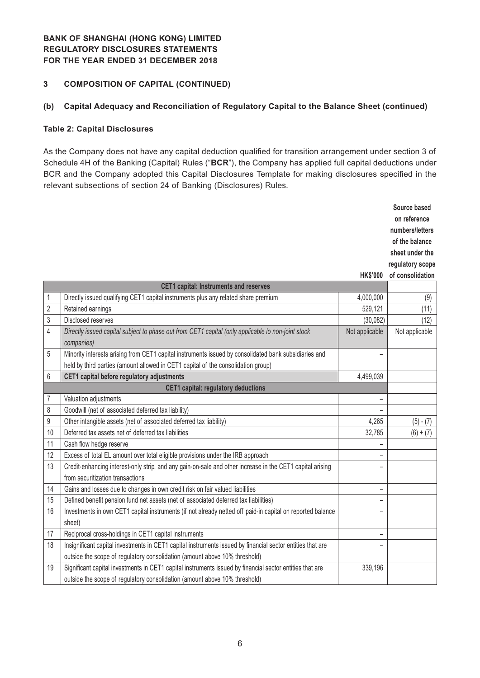#### **3 COMPOSITION OF CAPITAL (CONTINUED)**

#### **(b) Capital Adequacy and Reconciliation of Regulatory Capital to the Balance Sheet (continued)**

#### **Table 2: Capital Disclosures**

As the Company does not have any capital deduction qualified for transition arrangement under section 3 of Schedule 4H of the Banking (Capital) Rules ("**BCR**"), the Company has applied full capital deductions under BCR and the Company adopted this Capital Disclosures Template for making disclosures specified in the relevant subsections of section 24 of Banking (Disclosures) Rules.

|                                            |                                                                                                            |                          | Source based     |
|--------------------------------------------|------------------------------------------------------------------------------------------------------------|--------------------------|------------------|
|                                            |                                                                                                            |                          | on reference     |
|                                            |                                                                                                            |                          | numbers/letters  |
|                                            |                                                                                                            |                          | of the balance   |
|                                            |                                                                                                            |                          | sheet under the  |
|                                            |                                                                                                            |                          | regulatory scope |
|                                            |                                                                                                            | <b>HK\$'000</b>          | of consolidation |
|                                            | <b>CET1 capital: Instruments and reserves</b>                                                              |                          |                  |
| 1                                          | Directly issued qualifying CET1 capital instruments plus any related share premium                         | 4,000,000                | (9)              |
| $\overline{2}$                             | Retained earnings                                                                                          | 529,121                  | (11)             |
| 3                                          | <b>Disclosed reserves</b>                                                                                  | (30,082)                 | (12)             |
| 4                                          | Directly issued capital subject to phase out from CET1 capital (only applicable lo non-joint stock         | Not applicable           | Not applicable   |
|                                            | companies)                                                                                                 |                          |                  |
| 5                                          | Minority interests arising from CET1 capital instruments issued by consolidated bank subsidiaries and      |                          |                  |
|                                            | held by third parties (amount allowed in CET1 capital of the consolidation group)                          |                          |                  |
| 6                                          | CET1 capital before regulatory adjustments                                                                 | 4,499,039                |                  |
| <b>CET1 capital: regulatory deductions</b> |                                                                                                            |                          |                  |
| 7                                          | Valuation adjustments                                                                                      | $\overline{\phantom{0}}$ |                  |
| 8                                          | Goodwill (net of associated deferred tax liability)                                                        |                          |                  |
| 9                                          | Other intangible assets (net of associated deferred tax liability)                                         | 4,265                    | $(5) - (7)$      |
| 10                                         | Deferred tax assets net of deferred tax liabilities                                                        | 32,785                   | $(6) + (7)$      |
| 11                                         | Cash flow hedge reserve                                                                                    |                          |                  |
| 12                                         | Excess of total EL amount over total eligible provisions under the IRB approach                            |                          |                  |
| 13                                         | Credit-enhancing interest-only strip, and any gain-on-sale and other increase in the CET1 capital arising  |                          |                  |
|                                            | from securitization transactions                                                                           |                          |                  |
| 14                                         | Gains and losses due to changes in own credit risk on fair valued liabilities                              | $\qquad \qquad -$        |                  |
| 15                                         | Defined benefit pension fund net assets (net of associated deferred tax liabilities)                       | $\qquad \qquad -$        |                  |
| 16                                         | Investments in own CET1 capital instruments (if not already netted off paid-in capital on reported balance | ÷                        |                  |
|                                            | sheet)                                                                                                     |                          |                  |
| 17                                         | Reciprocal cross-holdings in CET1 capital instruments                                                      | $\overline{\phantom{0}}$ |                  |
| 18                                         | Insignificant capital investments in CET1 capital instruments issued by financial sector entities that are |                          |                  |
|                                            | outside the scope of regulatory consolidation (amount above 10% threshold)                                 |                          |                  |
| 19                                         | Significant capital investments in CET1 capital instruments issued by financial sector entities that are   | 339,196                  |                  |
|                                            | outside the scope of regulatory consolidation (amount above 10% threshold)                                 |                          |                  |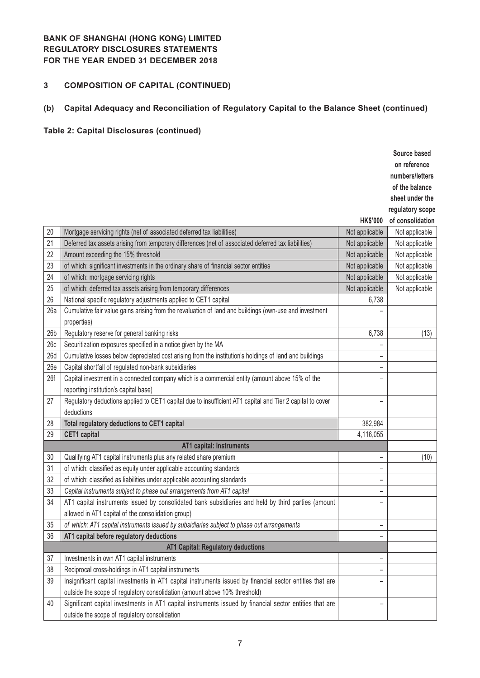# **3 COMPOSITION OF CAPITAL (CONTINUED)**

# **(b) Capital Adequacy and Reconciliation of Regulatory Capital to the Balance Sheet (continued)**

# **Table 2: Capital Disclosures (continued)**

|                 |                                                                                                           |                          | Source based     |
|-----------------|-----------------------------------------------------------------------------------------------------------|--------------------------|------------------|
|                 |                                                                                                           |                          | on reference     |
|                 |                                                                                                           |                          | numbers/letters  |
|                 |                                                                                                           |                          | of the balance   |
|                 |                                                                                                           |                          | sheet under the  |
|                 |                                                                                                           |                          | regulatory scope |
|                 |                                                                                                           | <b>HK\$'000</b>          | of consolidation |
| 20              | Mortgage servicing rights (net of associated deferred tax liabilities)                                    | Not applicable           | Not applicable   |
| 21              | Deferred tax assets arising from temporary differences (net of associated deferred tax liabilities)       | Not applicable           | Not applicable   |
| 22              | Amount exceeding the 15% threshold                                                                        | Not applicable           | Not applicable   |
| 23              | of which: significant investments in the ordinary share of financial sector entities                      | Not applicable           | Not applicable   |
| 24              | of which: mortgage servicing rights                                                                       | Not applicable           | Not applicable   |
| 25              | of which: deferred tax assets arising from temporary differences                                          | Not applicable           | Not applicable   |
| 26              | National specific regulatory adjustments applied to CET1 capital                                          | 6,738                    |                  |
| 26a             | Cumulative fair value gains arising from the revaluation of land and buildings (own-use and investment    |                          |                  |
|                 | properties)                                                                                               |                          |                  |
| 26 <sub>b</sub> | Regulatory reserve for general banking risks                                                              | 6,738                    | (13)             |
| 26c             | Securitization exposures specified in a notice given by the MA                                            |                          |                  |
| 26d             | Cumulative losses below depreciated cost arising from the institution's holdings of land and buildings    |                          |                  |
| 26e             | Capital shortfall of regulated non-bank subsidiaries                                                      | -                        |                  |
| 26f             | Capital investment in a connected company which is a commercial entity (amount above 15% of the           |                          |                  |
|                 | reporting institution's capital base)                                                                     |                          |                  |
| 27              | Regulatory deductions applied to CET1 capital due to insufficient AT1 capital and Tier 2 capital to cover | $\overline{\phantom{0}}$ |                  |
|                 | deductions                                                                                                |                          |                  |
| 28              | Total regulatory deductions to CET1 capital                                                               | 382,984                  |                  |
| 29              | <b>CET1</b> capital                                                                                       | 4,116,055                |                  |
|                 | AT1 capital: Instruments                                                                                  |                          |                  |
| 30              | Qualifying AT1 capital instruments plus any related share premium                                         |                          | (10)             |
| 31              | of which: classified as equity under applicable accounting standards                                      | -                        |                  |
| 32              | of which: classified as liabilities under applicable accounting standards                                 | $\qquad \qquad -$        |                  |
| 33              | Capital instruments subject to phase out arrangements from AT1 capital                                    |                          |                  |
| 34              | AT1 capital instruments issued by consolidated bank subsidiaries and held by third parties (amount        | -                        |                  |
|                 | allowed in AT1 capital of the consolidation group)                                                        |                          |                  |
| 35              | of which: AT1 capital instruments issued by subsidiaries subject to phase out arrangements                |                          |                  |
| 36              | AT1 capital before regulatory deductions                                                                  | $\overline{\phantom{0}}$ |                  |
|                 | AT1 Capital: Regulatory deductions                                                                        |                          |                  |
| 37              | Investments in own AT1 capital instruments                                                                |                          |                  |
| 38              | Reciprocal cross-holdings in AT1 capital instruments                                                      | -                        |                  |
| 39              | Insignificant capital investments in AT1 capital instruments issued by financial sector entities that are |                          |                  |
|                 | outside the scope of regulatory consolidation (amount above 10% threshold)                                |                          |                  |
| 40              | Significant capital investments in AT1 capital instruments issued by financial sector entities that are   | ۳                        |                  |
|                 | outside the scope of regulatory consolidation                                                             |                          |                  |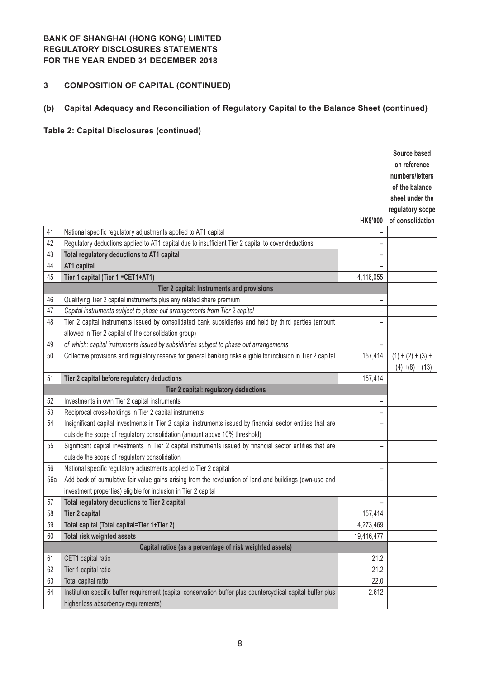# **3 COMPOSITION OF CAPITAL (CONTINUED)**

# **(b) Capital Adequacy and Reconciliation of Regulatory Capital to the Balance Sheet (continued)**

# **Table 2: Capital Disclosures (continued)**

|     |                                                                                                                 |                   | Source based        |
|-----|-----------------------------------------------------------------------------------------------------------------|-------------------|---------------------|
|     |                                                                                                                 |                   | on reference        |
|     |                                                                                                                 |                   | numbers/letters     |
|     |                                                                                                                 |                   | of the balance      |
|     |                                                                                                                 |                   | sheet under the     |
|     |                                                                                                                 |                   | regulatory scope    |
|     |                                                                                                                 | <b>HK\$'000</b>   | of consolidation    |
| 41  | National specific regulatory adjustments applied to AT1 capital                                                 |                   |                     |
| 42  | Regulatory deductions applied to AT1 capital due to insufficient Tier 2 capital to cover deductions             | -                 |                     |
| 43  | Total regulatory deductions to AT1 capital                                                                      | -                 |                     |
| 44  | AT1 capital                                                                                                     |                   |                     |
| 45  | Tier 1 capital (Tier 1 = CET1+AT1)                                                                              | 4,116,055         |                     |
|     | Tier 2 capital: Instruments and provisions                                                                      |                   |                     |
| 46  | Qualifying Tier 2 capital instruments plus any related share premium                                            | -                 |                     |
| 47  | Capital instruments subject to phase out arrangements from Tier 2 capital                                       |                   |                     |
| 48  | Tier 2 capital instruments issued by consolidated bank subsidiaries and held by third parties (amount           |                   |                     |
|     | allowed in Tier 2 capital of the consolidation group)                                                           |                   |                     |
| 49  | of which: capital instruments issued by subsidiaries subject to phase out arrangements                          |                   |                     |
| 50  | Collective provisions and regulatory reserve for general banking risks eligible for inclusion in Tier 2 capital | 157,414           | $(1) + (2) + (3) +$ |
|     |                                                                                                                 |                   | $(4) + (8) + (13)$  |
| 51  | Tier 2 capital before regulatory deductions                                                                     | 157,414           |                     |
|     | Tier 2 capital: regulatory deductions                                                                           |                   |                     |
| 52  | Investments in own Tier 2 capital instruments                                                                   | $\qquad \qquad -$ |                     |
| 53  | Reciprocal cross-holdings in Tier 2 capital instruments                                                         | -                 |                     |
| 54  | Insignificant capital investments in Tier 2 capital instruments issued by financial sector entities that are    |                   |                     |
|     | outside the scope of regulatory consolidation (amount above 10% threshold)                                      |                   |                     |
| 55  | Significant capital investments in Tier 2 capital instruments issued by financial sector entities that are      | -                 |                     |
|     | outside the scope of regulatory consolidation                                                                   |                   |                     |
| 56  | National specific regulatory adjustments applied to Tier 2 capital                                              | -                 |                     |
| 56a | Add back of cumulative fair value gains arising from the revaluation of land and buildings (own-use and         | -                 |                     |
|     | investment properties) eligible for inclusion in Tier 2 capital                                                 |                   |                     |
| 57  | Total regulatory deductions to Tier 2 capital                                                                   | -                 |                     |
| 58  | <b>Tier 2 capital</b>                                                                                           | 157,414           |                     |
| 59  | Total capital (Total capital=Tier 1+Tier 2)                                                                     | 4,273,469         |                     |
| 60  | <b>Total risk weighted assets</b>                                                                               | 19,416,477        |                     |
|     | Capital ratios (as a percentage of risk weighted assets)                                                        |                   |                     |
| 61  | CET1 capital ratio                                                                                              | 21.2              |                     |
| 62  | Tier 1 capital ratio                                                                                            | 21.2              |                     |
| 63  | Total capital ratio                                                                                             | 22.0              |                     |
| 64  | Institution specific buffer requirement (capital conservation buffer plus countercyclical capital buffer plus   | 2.612             |                     |
|     | higher loss absorbency requirements)                                                                            |                   |                     |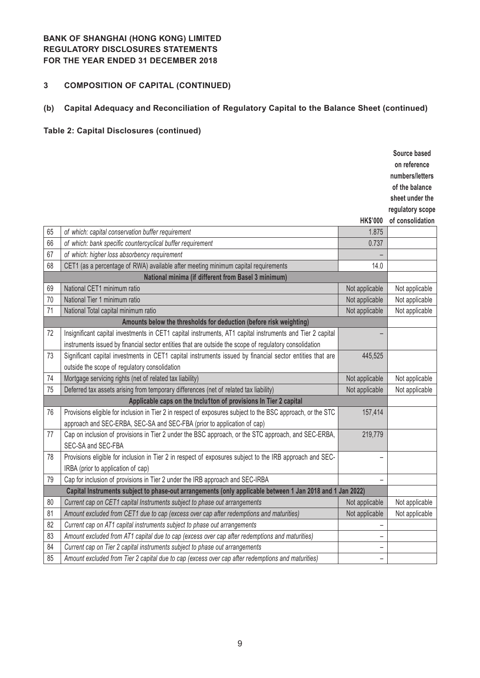# **3 COMPOSITION OF CAPITAL (CONTINUED)**

# **(b) Capital Adequacy and Reconciliation of Regulatory Capital to the Balance Sheet (continued)**

# **Table 2: Capital Disclosures (continued)**

|    |                                                                                                             |                          | Source based     |
|----|-------------------------------------------------------------------------------------------------------------|--------------------------|------------------|
|    |                                                                                                             |                          | on reference     |
|    |                                                                                                             |                          | numbers/letters  |
|    |                                                                                                             |                          | of the balance   |
|    |                                                                                                             |                          | sheet under the  |
|    |                                                                                                             |                          | regulatory scope |
|    |                                                                                                             | <b>HK\$'000</b>          | of consolidation |
| 65 | of which: capital conservation buffer requirement                                                           | 1.875                    |                  |
| 66 | of which: bank specific countercyclical buffer requirement                                                  | 0.737                    |                  |
| 67 | of which: higher loss absorbency requirement                                                                |                          |                  |
| 68 | CET1 (as a percentage of RWA) available after meeting minimum capital requirements                          | 14.0                     |                  |
|    | National minima (if different from Basel 3 minimum)                                                         |                          |                  |
| 69 | National CET1 minimum ratio                                                                                 | Not applicable           | Not applicable   |
| 70 | National Tier 1 minimum ratio                                                                               | Not applicable           | Not applicable   |
| 71 | National Total capital minimum ratio                                                                        | Not applicable           | Not applicable   |
|    | Amounts below the thresholds for deduction (before risk weighting)                                          |                          |                  |
| 72 | Insignificant capital investments in CET1 capital instruments, AT1 capital instruments and Tier 2 capital   |                          |                  |
|    | instruments issued by financial sector entities that are outside the scope of regulatory consolidation      |                          |                  |
| 73 | Significant capital investments in CET1 capital instruments issued by financial sector entities that are    | 445,525                  |                  |
|    | outside the scope of regulatory consolidation                                                               |                          |                  |
| 74 | Mortgage servicing rights (net of related tax liability)                                                    | Not applicable           | Not applicable   |
| 75 | Deferred tax assets arising from temporary differences (net of related tax liability)                       | Not applicable           | Not applicable   |
|    | Applicable caps on the tnclu1ton of provisions In Tier 2 capital                                            |                          |                  |
| 76 | Provisions eligible for inclusion in Tier 2 in respect of exposures subject to the BSC approach, or the STC | 157,414                  |                  |
|    | approach and SEC-ERBA, SEC-SA and SEC-FBA (prior to application of cap)                                     |                          |                  |
| 77 | Cap on inclusion of provisions in Tier 2 under the BSC approach, or the STC approach, and SEC-ERBA,         | 219,779                  |                  |
|    | SEC-SA and SEC-FBA                                                                                          |                          |                  |
| 78 | Provisions eligible for inclusion in Tier 2 in respect of exposures subject to the IRB approach and SEC-    |                          |                  |
|    | IRBA (prior to application of cap)                                                                          |                          |                  |
| 79 | Cap for inclusion of provisions in Tier 2 under the IRB approach and SEC-IRBA                               |                          |                  |
|    | Capital Instruments subject to phase-out arrangements (only applicable between 1 Jan 2018 and 1 Jan 2022)   |                          |                  |
| 80 | Current cap on CET1 capital Instruments subject to phase out arrangements                                   | Not applicable           | Not applicable   |
| 81 | Amount excluded from CET1 due to cap (excess over cap after redemptions and maturities)                     | Not applicable           | Not applicable   |
| 82 | Current cap on AT1 capital instruments subject to phase out arrangements                                    | $\overline{\phantom{0}}$ |                  |
| 83 | Amount excluded from AT1 capital due to cap (excess over cap after redemptions and maturities)              | $\overline{\phantom{0}}$ |                  |
| 84 | Current cap on Tier 2 capital instruments subject to phase out arrangements                                 | -                        |                  |
| 85 | Amount excluded from Tier 2 capital due to cap (excess over cap after redemptions and maturities)           | $\overline{a}$           |                  |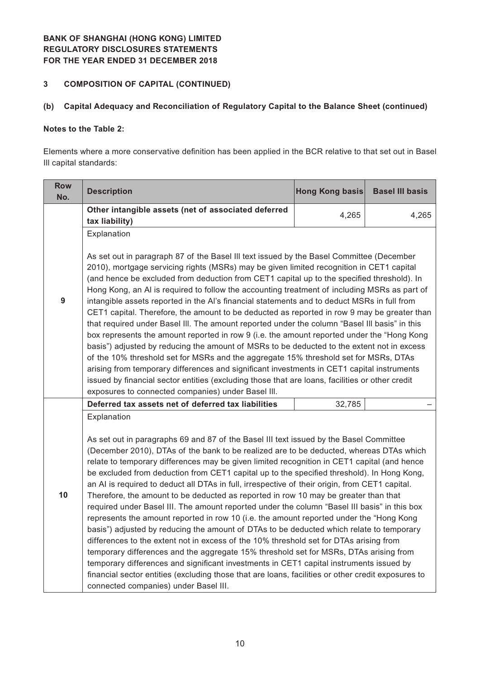#### **3 COMPOSITION OF CAPITAL (CONTINUED)**

### **(b) Capital Adequacy and Reconciliation of Regulatory Capital to the Balance Sheet (continued)**

### **Notes to the Table 2:**

Elements where a more conservative definition has been applied in the BCR relative to that set out in Basel Ill capital standards:

| <b>Row</b><br>No. | <b>Description</b>                                                                                                                                                                                                                                                                                                                                                                                                                                                                                                                                                                                                                                                                                                                                                                                                                                                                                                                                                                                                                                                                                                                                                                                                                                                                                         | <b>Hong Kong basis</b> | <b>Basel III basis</b> |  |  |  |
|-------------------|------------------------------------------------------------------------------------------------------------------------------------------------------------------------------------------------------------------------------------------------------------------------------------------------------------------------------------------------------------------------------------------------------------------------------------------------------------------------------------------------------------------------------------------------------------------------------------------------------------------------------------------------------------------------------------------------------------------------------------------------------------------------------------------------------------------------------------------------------------------------------------------------------------------------------------------------------------------------------------------------------------------------------------------------------------------------------------------------------------------------------------------------------------------------------------------------------------------------------------------------------------------------------------------------------------|------------------------|------------------------|--|--|--|
|                   | Other intangible assets (net of associated deferred<br>tax liability)                                                                                                                                                                                                                                                                                                                                                                                                                                                                                                                                                                                                                                                                                                                                                                                                                                                                                                                                                                                                                                                                                                                                                                                                                                      | 4,265                  | 4,265                  |  |  |  |
|                   | Explanation                                                                                                                                                                                                                                                                                                                                                                                                                                                                                                                                                                                                                                                                                                                                                                                                                                                                                                                                                                                                                                                                                                                                                                                                                                                                                                |                        |                        |  |  |  |
| 9                 | As set out in paragraph 87 of the Basel III text issued by the Basel Committee (December<br>2010), mortgage servicing rights (MSRs) may be given limited recognition in CET1 capital<br>(and hence be excluded from deduction from CET1 capital up to the specified threshold). In<br>Hong Kong, an AI is required to follow the accounting treatment of including MSRs as part of<br>intangible assets reported in the AI's financial statements and to deduct MSRs in full from<br>CET1 capital. Therefore, the amount to be deducted as reported in row 9 may be greater than<br>that required under Basel III. The amount reported under the column "Basel III basis" in this<br>box represents the amount reported in row 9 (i.e. the amount reported under the "Hong Kong<br>basis") adjusted by reducing the amount of MSRs to be deducted to the extent not in excess<br>of the 10% threshold set for MSRs and the aggregate 15% threshold set for MSRs, DTAs<br>arising from temporary differences and significant investments in CET1 capital instruments<br>issued by financial sector entities (excluding those that are loans, facilities or other credit<br>exposures to connected companies) under Basel III.                                                                               |                        |                        |  |  |  |
|                   | Deferred tax assets net of deferred tax liabilities                                                                                                                                                                                                                                                                                                                                                                                                                                                                                                                                                                                                                                                                                                                                                                                                                                                                                                                                                                                                                                                                                                                                                                                                                                                        | 32,785                 |                        |  |  |  |
| 10                | Explanation<br>As set out in paragraphs 69 and 87 of the Basel III text issued by the Basel Committee<br>(December 2010), DTAs of the bank to be realized are to be deducted, whereas DTAs which<br>relate to temporary differences may be given limited recognition in CET1 capital (and hence<br>be excluded from deduction from CET1 capital up to the specified threshold). In Hong Kong,<br>an AI is required to deduct all DTAs in full, irrespective of their origin, from CET1 capital.<br>Therefore, the amount to be deducted as reported in row 10 may be greater than that<br>required under Basel III. The amount reported under the column "Basel III basis" in this box<br>represents the amount reported in row 10 (i.e. the amount reported under the "Hong Kong<br>basis") adjusted by reducing the amount of DTAs to be deducted which relate to temporary<br>differences to the extent not in excess of the 10% threshold set for DTAs arising from<br>temporary differences and the aggregate 15% threshold set for MSRs, DTAs arising from<br>temporary differences and significant investments in CET1 capital instruments issued by<br>financial sector entities (excluding those that are loans, facilities or other credit exposures to<br>connected companies) under Basel III. |                        |                        |  |  |  |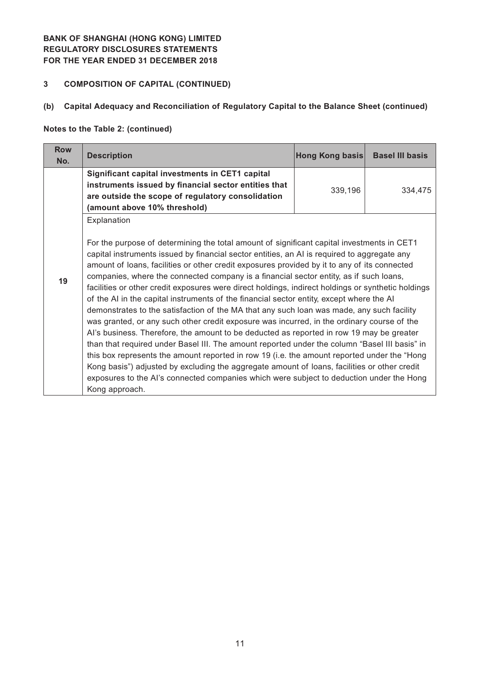### **3 COMPOSITION OF CAPITAL (CONTINUED)**

# **(b) Capital Adequacy and Reconciliation of Regulatory Capital to the Balance Sheet (continued)**

### **Notes to the Table 2: (continued)**

| <b>Row</b><br>No. | <b>Description</b>                                                                                                                                                                                                                                                                                                                                                                                                                                                                                                                                                                                                                                                                                                                                                                                                                                                                                                                                                                                                                                                                                                                                                                                                                                                                                         | Hong Kong basis | <b>Basel III basis</b> |
|-------------------|------------------------------------------------------------------------------------------------------------------------------------------------------------------------------------------------------------------------------------------------------------------------------------------------------------------------------------------------------------------------------------------------------------------------------------------------------------------------------------------------------------------------------------------------------------------------------------------------------------------------------------------------------------------------------------------------------------------------------------------------------------------------------------------------------------------------------------------------------------------------------------------------------------------------------------------------------------------------------------------------------------------------------------------------------------------------------------------------------------------------------------------------------------------------------------------------------------------------------------------------------------------------------------------------------------|-----------------|------------------------|
|                   | Significant capital investments in CET1 capital<br>instruments issued by financial sector entities that<br>are outside the scope of regulatory consolidation<br>(amount above 10% threshold)                                                                                                                                                                                                                                                                                                                                                                                                                                                                                                                                                                                                                                                                                                                                                                                                                                                                                                                                                                                                                                                                                                               | 339,196         | 334,475                |
| 19                | Explanation<br>For the purpose of determining the total amount of significant capital investments in CET1<br>capital instruments issued by financial sector entities, an AI is required to aggregate any<br>amount of loans, facilities or other credit exposures provided by it to any of its connected<br>companies, where the connected company is a financial sector entity, as if such loans,<br>facilities or other credit exposures were direct holdings, indirect holdings or synthetic holdings<br>of the AI in the capital instruments of the financial sector entity, except where the AI<br>demonstrates to the satisfaction of the MA that any such loan was made, any such facility<br>was granted, or any such other credit exposure was incurred, in the ordinary course of the<br>Al's business. Therefore, the amount to be deducted as reported in row 19 may be greater<br>than that required under Basel III. The amount reported under the column "Basel III basis" in<br>this box represents the amount reported in row 19 (i.e. the amount reported under the "Hong"<br>Kong basis") adjusted by excluding the aggregate amount of loans, facilities or other credit<br>exposures to the AI's connected companies which were subject to deduction under the Hong<br>Kong approach. |                 |                        |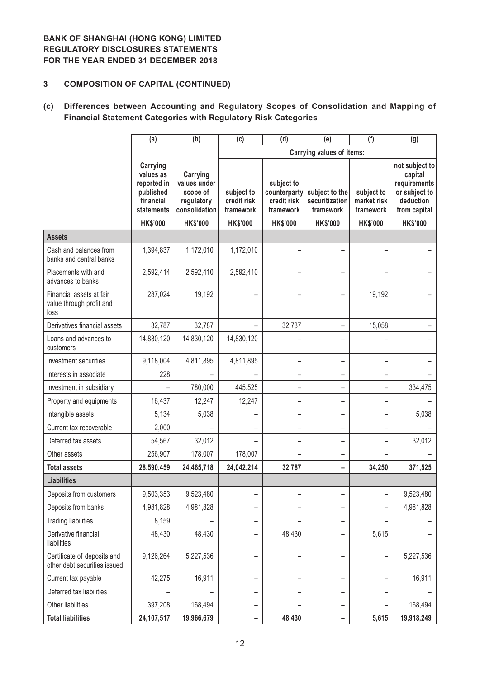### **3 COMPOSITION OF CAPITAL (CONTINUED)**

# **(c) Differences between Accounting and Regulatory Scopes of Consolidation and Mapping of Financial Statement Categories with Regulatory Risk Categories**

|                                                              | (a)                                                                          | (b)                                                                 | (c)                                    | (d)                                                    | (e)                                           | (f)                                    | (g)                                                                                     |
|--------------------------------------------------------------|------------------------------------------------------------------------------|---------------------------------------------------------------------|----------------------------------------|--------------------------------------------------------|-----------------------------------------------|----------------------------------------|-----------------------------------------------------------------------------------------|
|                                                              |                                                                              |                                                                     |                                        |                                                        | <b>Carrying values of items:</b>              |                                        |                                                                                         |
|                                                              | Carrying<br>values as<br>reported in<br>published<br>financial<br>statements | Carrying<br>values under<br>scope of<br>regulatory<br>consolidation | subject to<br>credit risk<br>framework | subject to<br>counterparty<br>credit risk<br>framework | subject to the<br>securitization<br>framework | subject to<br>market risk<br>framework | not subject to<br>capital<br>requirements<br>or subject to<br>deduction<br>from capital |
|                                                              | <b>HK\$'000</b>                                                              | <b>HK\$'000</b>                                                     | <b>HK\$'000</b>                        | <b>HK\$'000</b>                                        | <b>HK\$'000</b>                               | <b>HK\$'000</b>                        | <b>HK\$'000</b>                                                                         |
| <b>Assets</b>                                                |                                                                              |                                                                     |                                        |                                                        |                                               |                                        |                                                                                         |
| Cash and balances from<br>banks and central banks            | 1,394,837                                                                    | 1,172,010                                                           | 1,172,010                              |                                                        |                                               |                                        |                                                                                         |
| Placements with and<br>advances to banks                     | 2,592,414                                                                    | 2,592,410                                                           | 2,592,410                              |                                                        |                                               |                                        |                                                                                         |
| Financial assets at fair<br>value through profit and<br>loss | 287,024                                                                      | 19,192                                                              |                                        |                                                        |                                               | 19,192                                 |                                                                                         |
| Derivatives financial assets                                 | 32,787                                                                       | 32,787                                                              |                                        | 32,787                                                 |                                               | 15,058                                 |                                                                                         |
| Loans and advances to<br>customers                           | 14,830,120                                                                   | 14,830,120                                                          | 14,830,120                             |                                                        |                                               |                                        |                                                                                         |
| Investment securities                                        | 9,118,004                                                                    | 4,811,895                                                           | 4,811,895                              | $\overline{\phantom{0}}$                               |                                               |                                        |                                                                                         |
| Interests in associate                                       | 228                                                                          |                                                                     |                                        | -                                                      |                                               |                                        |                                                                                         |
| Investment in subsidiary                                     |                                                                              | 780,000                                                             | 445,525                                | $\overline{\phantom{0}}$                               |                                               |                                        | 334,475                                                                                 |
| Property and equipments                                      | 16,437                                                                       | 12,247                                                              | 12,247                                 | $\overline{\phantom{0}}$                               |                                               |                                        |                                                                                         |
| Intangible assets                                            | 5,134                                                                        | 5,038                                                               | -                                      | $\overline{\phantom{0}}$                               | -                                             | $\overline{\phantom{0}}$               | 5,038                                                                                   |
| Current tax recoverable                                      | 2,000                                                                        |                                                                     | -                                      | -                                                      |                                               |                                        |                                                                                         |
| Deferred tax assets                                          | 54,567                                                                       | 32,012                                                              |                                        | -                                                      |                                               |                                        | 32,012                                                                                  |
| Other assets                                                 | 256,907                                                                      | 178,007                                                             | 178,007                                | $\overline{\phantom{0}}$                               |                                               |                                        |                                                                                         |
| <b>Total assets</b>                                          | 28,590,459                                                                   | 24,465,718                                                          | 24,042,214                             | 32,787                                                 |                                               | 34,250                                 | 371,525                                                                                 |
| <b>Liabilities</b>                                           |                                                                              |                                                                     |                                        |                                                        |                                               |                                        |                                                                                         |
| Deposits from customers                                      | 9,503,353                                                                    | 9,523,480                                                           |                                        |                                                        |                                               |                                        | 9,523,480                                                                               |
| Deposits from banks                                          | 4,981,828                                                                    | 4,981,828                                                           | -                                      |                                                        |                                               |                                        | 4,981,828                                                                               |
| <b>Trading liabilities</b>                                   | 8,159                                                                        |                                                                     | -                                      |                                                        |                                               |                                        |                                                                                         |
| Derivative financial<br>liabilities                          | 48,430                                                                       | 48,430                                                              | -                                      | 48,430                                                 |                                               | 5,615                                  |                                                                                         |
| Certificate of deposits and<br>other debt securities issued  | 9,126,264                                                                    | 5,227,536                                                           | —                                      | $\overline{\phantom{0}}$                               |                                               |                                        | 5,227,536                                                                               |
| Current tax payable                                          | 42,275                                                                       | 16,911                                                              | -                                      | -                                                      |                                               |                                        | 16,911                                                                                  |
| Deferred tax liabilities                                     |                                                                              |                                                                     | -                                      | -                                                      |                                               |                                        |                                                                                         |
| Other liabilities                                            | 397,208                                                                      | 168,494                                                             | -                                      |                                                        |                                               |                                        | 168,494                                                                                 |
| <b>Total liabilities</b>                                     | 24,107,517                                                                   | 19,966,679                                                          | -                                      | 48,430                                                 |                                               | 5,615                                  | 19,918,249                                                                              |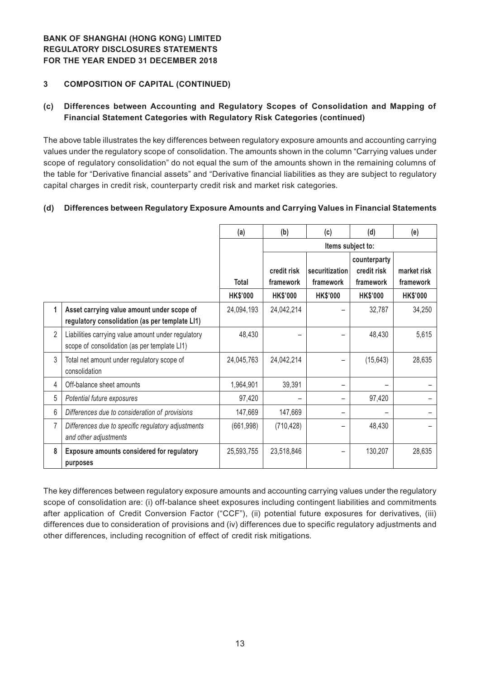### **3 COMPOSITION OF CAPITAL (CONTINUED)**

### **(c) Differences between Accounting and Regulatory Scopes of Consolidation and Mapping of Financial Statement Categories with Regulatory Risk Categories (continued)**

The above table illustrates the key differences between regulatory exposure amounts and accounting carrying values under the regulatory scope of consolidation. The amounts shown in the column "Carrying values under scope of regulatory consolidation" do not equal the sum of the amounts shown in the remaining columns of the table for "Derivative financial assets" and "Derivative financial liabilities as they are subject to regulatory capital charges in credit risk, counterparty credit risk and market risk categories.

#### **(d) Differences between Regulatory Exposure Amounts and Carrying Values in Financial Statements**

|                |                                                                                                    | (a)             | (b)                      | (c)                         | (d)                                      | (e)                      |
|----------------|----------------------------------------------------------------------------------------------------|-----------------|--------------------------|-----------------------------|------------------------------------------|--------------------------|
|                |                                                                                                    |                 | Items subject to:        |                             |                                          |                          |
|                |                                                                                                    | <b>Total</b>    | credit risk<br>framework | securitization<br>framework | counterparty<br>credit risk<br>framework | market risk<br>framework |
|                |                                                                                                    | <b>HK\$'000</b> | <b>HK\$'000</b>          | <b>HK\$'000</b>             | <b>HK\$'000</b>                          | <b>HK\$'000</b>          |
| 1              | Asset carrying value amount under scope of<br>regulatory consolidation (as per template LI1)       | 24,094,193      | 24,042,214               |                             | 32,787                                   | 34,250                   |
| $\overline{2}$ | Liabilities carrying value amount under regulatory<br>scope of consolidation (as per template LI1) | 48,430          |                          |                             | 48,430                                   | 5,615                    |
| 3              | Total net amount under regulatory scope of<br>consolidation                                        | 24,045,763      | 24,042,214               |                             | (15, 643)                                | 28,635                   |
| 4              | Off-balance sheet amounts                                                                          | 1,964,901       | 39,391                   |                             |                                          |                          |
| 5              | Potential future exposures                                                                         | 97,420          |                          |                             | 97,420                                   |                          |
| 6              | Differences due to consideration of provisions                                                     | 147,669         | 147,669                  |                             |                                          |                          |
| 7              | Differences due to specific regulatory adjustments<br>and other adjustments                        | (661, 998)      | (710, 428)               |                             | 48,430                                   |                          |
| 8              | <b>Exposure amounts considered for regulatory</b><br>purposes                                      | 25,593,755      | 23,518,846               |                             | 130,207                                  | 28,635                   |

The key differences between regulatory exposure amounts and accounting carrying values under the regulatory scope of consolidation are: (i) off-balance sheet exposures including contingent liabilities and commitments after application of Credit Conversion Factor ("CCF"), (ii) potential future exposures for derivatives, (iii) differences due to consideration of provisions and (iv) differences due to specific regulatory adjustments and other differences, including recognition of effect of credit risk mitigations.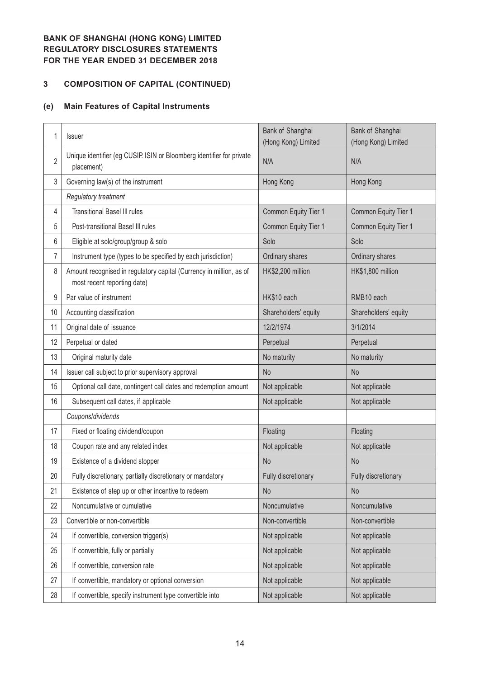# **3 COMPOSITION OF CAPITAL (CONTINUED)**

# **(e) Main Features of Capital Instruments**

| 1              | Issuer                                                                                             | Bank of Shanghai<br>(Hong Kong) Limited | Bank of Shanghai<br>(Hong Kong) Limited |
|----------------|----------------------------------------------------------------------------------------------------|-----------------------------------------|-----------------------------------------|
| $\overline{2}$ | Unique identifier (eg CUSIP. ISIN or Bloomberg identifier for private<br>placement)                | N/A                                     | N/A                                     |
| 3              | Governing law(s) of the instrument                                                                 | Hong Kong                               | Hong Kong                               |
|                | Regulatory treatment                                                                               |                                         |                                         |
| 4              | <b>Transitional Basel III rules</b>                                                                | Common Equity Tier 1                    | Common Equity Tier 1                    |
| 5              | Post-transitional Basel III rules                                                                  | Common Equity Tier 1                    | Common Equity Tier 1                    |
| 6              | Eligible at solo/group/group & solo                                                                | Solo                                    | Solo                                    |
| 7              | Instrument type (types to be specified by each jurisdiction)                                       | Ordinary shares                         | Ordinary shares                         |
| 8              | Amount recognised in regulatory capital (Currency in million, as of<br>most recent reporting date) | HK\$2,200 million                       | HK\$1,800 million                       |
| 9              | Par value of instrument                                                                            | HK\$10 each                             | RMB10 each                              |
| 10             | Accounting classification                                                                          | Shareholders' equity                    | Shareholders' equity                    |
| 11             | Original date of issuance                                                                          | 12/2/1974                               | 3/1/2014                                |
| 12             | Perpetual or dated                                                                                 | Perpetual                               | Perpetual                               |
| 13             | Original maturity date                                                                             | No maturity                             | No maturity                             |
| 14             | Issuer call subject to prior supervisory approval                                                  | <b>No</b>                               | N <sub>o</sub>                          |
| 15             | Optional call date, contingent call dates and redemption amount                                    | Not applicable                          | Not applicable                          |
| 16             | Subsequent call dates, if applicable                                                               | Not applicable                          | Not applicable                          |
|                | Coupons/dividends                                                                                  |                                         |                                         |
| 17             | Fixed or floating dividend/coupon                                                                  | Floating                                | Floating                                |
| 18             | Coupon rate and any related index                                                                  | Not applicable                          | Not applicable                          |
| 19             | Existence of a dividend stopper                                                                    | <b>No</b>                               | <b>No</b>                               |
| 20             | Fully discretionary, partially discretionary or mandatory                                          | Fully discretionary                     | Fully discretionary                     |
| 21             | Existence of step up or other incentive to redeem                                                  | <b>No</b>                               | No                                      |
| 22             | Noncumulative or cumulative                                                                        | Noncumulative                           | Noncumulative                           |
| 23             | Convertible or non-convertible                                                                     | Non-convertible                         | Non-convertible                         |
| 24             | If convertible, conversion trigger(s)                                                              | Not applicable                          | Not applicable                          |
| 25             | If convertible, fully or partially                                                                 | Not applicable                          | Not applicable                          |
| 26             | If convertible, conversion rate                                                                    | Not applicable                          | Not applicable                          |
| 27             | If convertible, mandatory or optional conversion                                                   | Not applicable                          | Not applicable                          |
| 28             | If convertible, specify instrument type convertible into                                           | Not applicable                          | Not applicable                          |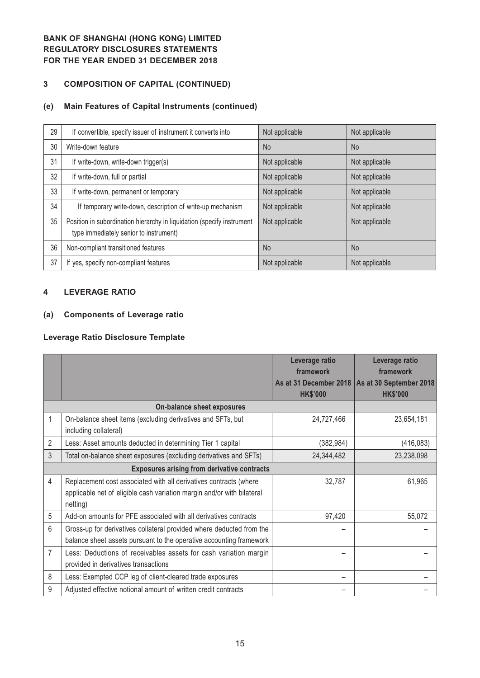## **3 COMPOSITION OF CAPITAL (CONTINUED)**

# **(e) Main Features of Capital Instruments (continued)**

| 29 | If convertible, specify issuer of instrument it converts into                                                    | Not applicable | Not applicable |
|----|------------------------------------------------------------------------------------------------------------------|----------------|----------------|
| 30 | Write-down feature                                                                                               | <b>No</b>      | <b>No</b>      |
| 31 | If write-down, write-down trigger(s)                                                                             | Not applicable | Not applicable |
| 32 | If write-down, full or partial                                                                                   | Not applicable | Not applicable |
| 33 | If write-down, permanent or temporary                                                                            | Not applicable | Not applicable |
| 34 | If temporary write-down, description of write-up mechanism                                                       | Not applicable | Not applicable |
| 35 | Position in subordination hierarchy in liquidation (specify instrument<br>type immediately senior to instrument) | Not applicable | Not applicable |
| 36 | Non-compliant transitioned features                                                                              | <b>No</b>      | N <sub>o</sub> |
| 37 | If yes, specify non-compliant features                                                                           | Not applicable | Not applicable |

#### **4 LEVERAGE RATIO**

### **(a) Components of Leverage ratio**

#### **Leverage Ratio Disclosure Template**

|                |                                                                                                                                                         | Leverage ratio<br>framework               | Leverage ratio<br>framework                |
|----------------|---------------------------------------------------------------------------------------------------------------------------------------------------------|-------------------------------------------|--------------------------------------------|
|                |                                                                                                                                                         | As at 31 December 2018<br><b>HK\$'000</b> | As at 30 September 2018<br><b>HK\$'000</b> |
|                | On-balance sheet exposures                                                                                                                              |                                           |                                            |
| 1              | On-balance sheet items (excluding derivatives and SFTs, but<br>including collateral)                                                                    | 24,727,466                                | 23,654,181                                 |
| $\overline{2}$ | Less: Asset amounts deducted in determining Tier 1 capital                                                                                              | (382, 984)                                | (416, 083)                                 |
| 3              | Total on-balance sheet exposures (excluding derivatives and SFTs)                                                                                       | 24,344,482                                | 23,238,098                                 |
|                | <b>Exposures arising from derivative contracts</b>                                                                                                      |                                           |                                            |
| 4              | Replacement cost associated with all derivatives contracts (where<br>applicable net of eligible cash variation margin and/or with bilateral<br>netting) | 32,787                                    | 61,965                                     |
| 5              | Add-on amounts for PFE associated with all derivatives contracts                                                                                        | 97,420                                    | 55,072                                     |
| 6              | Gross-up for derivatives collateral provided where deducted from the<br>balance sheet assets pursuant to the operative accounting framework             |                                           |                                            |
| $\overline{7}$ | Less: Deductions of receivables assets for cash variation margin<br>provided in derivatives transactions                                                |                                           |                                            |
| 8              | Less: Exempted CCP leg of client-cleared trade exposures                                                                                                |                                           |                                            |
| 9              | Adjusted effective notional amount of written credit contracts                                                                                          |                                           |                                            |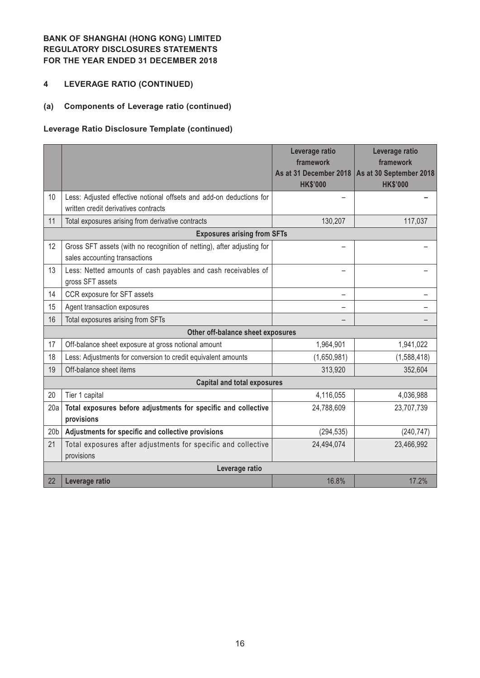### **4 LEVERAGE RATIO (CONTINUED)**

# **(a) Components of Leverage ratio (continued)**

### **Leverage Ratio Disclosure Template (continued)**

|                 |                                                                                                             | Leverage ratio<br>framework<br>As at 31 December 2018<br><b>HK\$'000</b> | Leverage ratio<br>framework<br>As at 30 September 2018<br><b>HK\$'000</b> |
|-----------------|-------------------------------------------------------------------------------------------------------------|--------------------------------------------------------------------------|---------------------------------------------------------------------------|
| 10              | Less: Adjusted effective notional offsets and add-on deductions for<br>written credit derivatives contracts |                                                                          |                                                                           |
| 11              | Total exposures arising from derivative contracts                                                           | 130,207                                                                  | 117,037                                                                   |
|                 | <b>Exposures arising from SFTs</b>                                                                          |                                                                          |                                                                           |
| 12              | Gross SFT assets (with no recognition of netting), after adjusting for<br>sales accounting transactions     |                                                                          |                                                                           |
| 13              | Less: Netted amounts of cash payables and cash receivables of<br>gross SFT assets                           |                                                                          |                                                                           |
| 14              | CCR exposure for SFT assets                                                                                 |                                                                          |                                                                           |
| 15              | Agent transaction exposures                                                                                 |                                                                          |                                                                           |
| 16              | Total exposures arising from SFTs                                                                           |                                                                          |                                                                           |
|                 | Other off-balance sheet exposures                                                                           |                                                                          |                                                                           |
| 17              | Off-balance sheet exposure at gross notional amount                                                         | 1,964,901                                                                | 1,941,022                                                                 |
| 18              | Less: Adjustments for conversion to credit equivalent amounts                                               | (1,650,981)                                                              | (1,588,418)                                                               |
| 19              | Off-balance sheet items                                                                                     | 313,920                                                                  | 352,604                                                                   |
|                 | <b>Capital and total exposures</b>                                                                          |                                                                          |                                                                           |
| 20              | Tier 1 capital                                                                                              | 4,116,055                                                                | 4,036,988                                                                 |
| 20a             | Total exposures before adjustments for specific and collective<br>provisions                                | 24,788,609                                                               | 23,707,739                                                                |
| 20 <sub>b</sub> | Adjustments for specific and collective provisions                                                          | (294, 535)                                                               | (240, 747)                                                                |
| 21              | Total exposures after adjustments for specific and collective<br>provisions                                 | 24,494,074                                                               | 23,466,992                                                                |
|                 | Leverage ratio                                                                                              |                                                                          |                                                                           |
| 22              | Leverage ratio                                                                                              | 16.8%                                                                    | 17.2%                                                                     |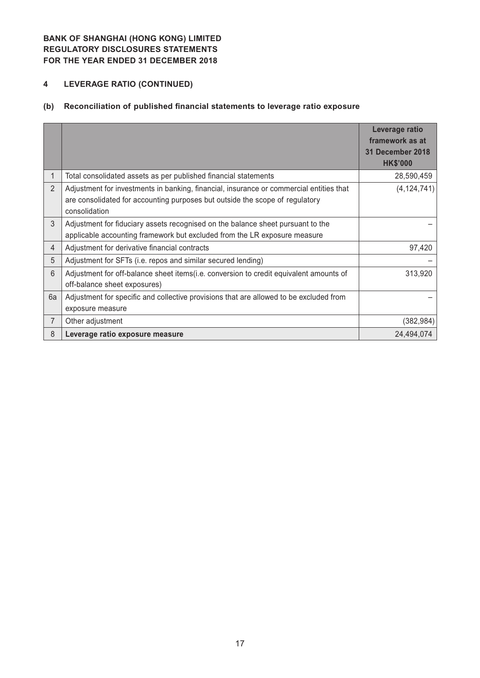# **4 LEVERAGE RATIO (CONTINUED)**

# **(b) Reconciliation of published financial statements to leverage ratio exposure**

|                |                                                                                         | Leverage ratio<br>framework as at<br>31 December 2018 |
|----------------|-----------------------------------------------------------------------------------------|-------------------------------------------------------|
|                |                                                                                         | <b>HK\$'000</b>                                       |
|                | Total consolidated assets as per published financial statements                         | 28,590,459                                            |
| $\overline{2}$ | Adjustment for investments in banking, financial, insurance or commercial entities that | (4, 124, 741)                                         |
|                | are consolidated for accounting purposes but outside the scope of regulatory            |                                                       |
|                | consolidation                                                                           |                                                       |
| 3              | Adjustment for fiduciary assets recognised on the balance sheet pursuant to the         |                                                       |
|                | applicable accounting framework but excluded from the LR exposure measure               |                                                       |
| $\overline{4}$ | Adjustment for derivative financial contracts                                           | 97,420                                                |
| 5              | Adjustment for SFTs (i.e. repos and similar secured lending)                            |                                                       |
| 6              | Adjustment for off-balance sheet items(i.e. conversion to credit equivalent amounts of  | 313,920                                               |
|                | off-balance sheet exposures)                                                            |                                                       |
| 6a             | Adjustment for specific and collective provisions that are allowed to be excluded from  |                                                       |
|                | exposure measure                                                                        |                                                       |
| 7              | Other adjustment                                                                        | (382,984)                                             |
| 8              | Leverage ratio exposure measure                                                         | 24.494.074                                            |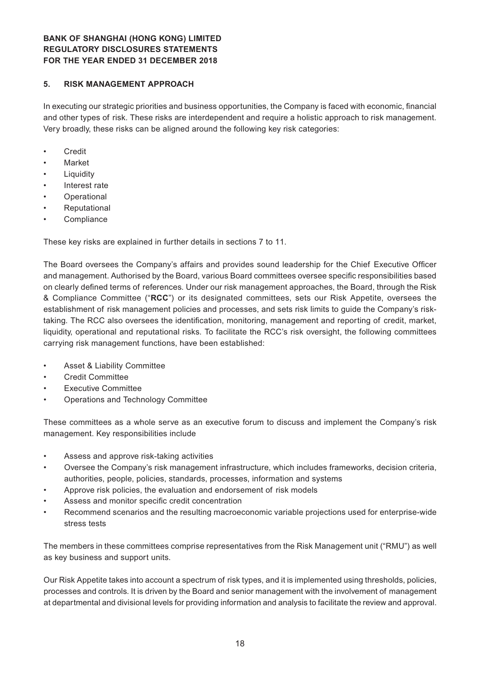#### **5. RISK MANAGEMENT APPROACH**

In executing our strategic priorities and business opportunities, the Company is faced with economic, financial and other types of risk. These risks are interdependent and require a holistic approach to risk management. Very broadly, these risks can be aligned around the following key risk categories:

- • Credit
- **Market**
- **Liquidity**
- Interest rate
- **Operational**
- **Reputational**
- **Compliance**

These key risks are explained in further details in sections 7 to 11.

The Board oversees the Company's affairs and provides sound leadership for the Chief Executive Officer and management. Authorised by the Board, various Board committees oversee specific responsibilities based on clearly defined terms of references. Under our risk management approaches, the Board, through the Risk & Compliance Committee ("**RCC**") or its designated committees, sets our Risk Appetite, oversees the establishment of risk management policies and processes, and sets risk limits to guide the Company's risktaking. The RCC also oversees the identification, monitoring, management and reporting of credit, market, liquidity, operational and reputational risks. To facilitate the RCC's risk oversight, the following committees carrying risk management functions, have been established:

- Asset & Liability Committee
- **Credit Committee**
- **Executive Committee**
- Operations and Technology Committee

These committees as a whole serve as an executive forum to discuss and implement the Company's risk management. Key responsibilities include

- Assess and approve risk-taking activities
- Oversee the Company's risk management infrastructure, which includes frameworks, decision criteria, authorities, people, policies, standards, processes, information and systems
- Approve risk policies, the evaluation and endorsement of risk models
- Assess and monitor specific credit concentration
- Recommend scenarios and the resulting macroeconomic variable projections used for enterprise-wide stress tests

The members in these committees comprise representatives from the Risk Management unit ("RMU") as well as key business and support units.

Our Risk Appetite takes into account a spectrum of risk types, and it is implemented using thresholds, policies, processes and controls. It is driven by the Board and senior management with the involvement of management at departmental and divisional levels for providing information and analysis to facilitate the review and approval.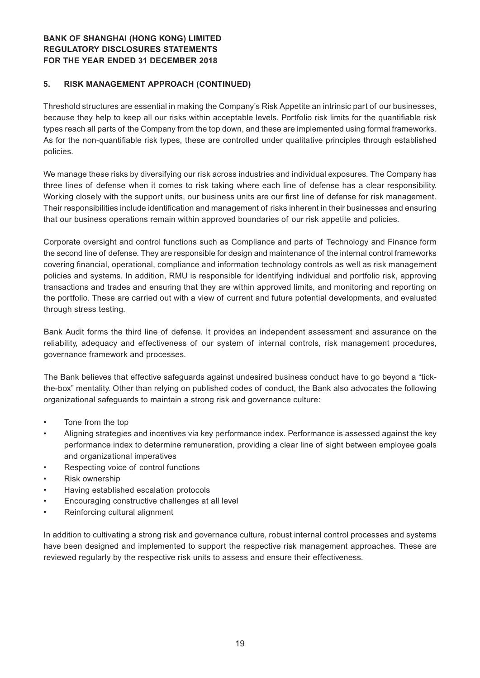#### **5. RISK MANAGEMENT APPROACH (CONTINUED)**

Threshold structures are essential in making the Company's Risk Appetite an intrinsic part of our businesses, because they help to keep all our risks within acceptable levels. Portfolio risk limits for the quantifiable risk types reach all parts of the Company from the top down, and these are implemented using formal frameworks. As for the non-quantifiable risk types, these are controlled under qualitative principles through established policies.

We manage these risks by diversifying our risk across industries and individual exposures. The Company has three lines of defense when it comes to risk taking where each line of defense has a clear responsibility. Working closely with the support units, our business units are our first line of defense for risk management. Their responsibilities include identification and management of risks inherent in their businesses and ensuring that our business operations remain within approved boundaries of our risk appetite and policies.

Corporate oversight and control functions such as Compliance and parts of Technology and Finance form the second line of defense. They are responsible for design and maintenance of the internal control frameworks covering financial, operational, compliance and information technology controls as well as risk management policies and systems. In addition, RMU is responsible for identifying individual and portfolio risk, approving transactions and trades and ensuring that they are within approved limits, and monitoring and reporting on the portfolio. These are carried out with a view of current and future potential developments, and evaluated through stress testing.

Bank Audit forms the third line of defense. It provides an independent assessment and assurance on the reliability, adequacy and effectiveness of our system of internal controls, risk management procedures, governance framework and processes.

The Bank believes that effective safeguards against undesired business conduct have to go beyond a "tickthe-box" mentality. Other than relying on published codes of conduct, the Bank also advocates the following organizational safeguards to maintain a strong risk and governance culture:

- • Tone from the top
- Aligning strategies and incentives via key performance index. Performance is assessed against the key performance index to determine remuneration, providing a clear line of sight between employee goals and organizational imperatives
- Respecting voice of control functions
- Risk ownership
- Having established escalation protocols
- Encouraging constructive challenges at all level
- Reinforcing cultural alignment

In addition to cultivating a strong risk and governance culture, robust internal control processes and systems have been designed and implemented to support the respective risk management approaches. These are reviewed regularly by the respective risk units to assess and ensure their effectiveness.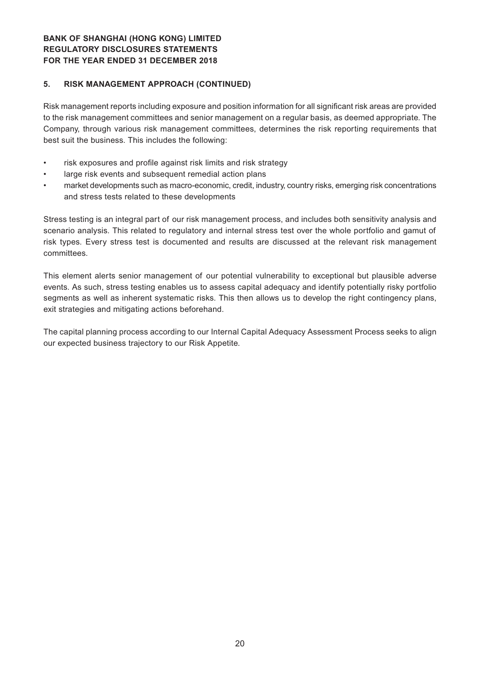### **BANK OF SHANGHAI (HONG KONG) LIMITED REGULATORY DISCLOSURES STATEMENTS For the Year ended 31 December 2018**

#### **5. RISK MANAGEMENT APPROACH (CONTINUED)**

Risk management reports including exposure and position information for all significant risk areas are provided to the risk management committees and senior management on a regular basis, as deemed appropriate. The Company, through various risk management committees, determines the risk reporting requirements that best suit the business. This includes the following:

- risk exposures and profile against risk limits and risk strategy
- large risk events and subsequent remedial action plans
- market developments such as macro-economic, credit, industry, country risks, emerging risk concentrations and stress tests related to these developments

Stress testing is an integral part of our risk management process, and includes both sensitivity analysis and scenario analysis. This related to regulatory and internal stress test over the whole portfolio and gamut of risk types. Every stress test is documented and results are discussed at the relevant risk management committees.

This element alerts senior management of our potential vulnerability to exceptional but plausible adverse events. As such, stress testing enables us to assess capital adequacy and identify potentially risky portfolio segments as well as inherent systematic risks. This then allows us to develop the right contingency plans, exit strategies and mitigating actions beforehand.

The capital planning process according to our Internal Capital Adequacy Assessment Process seeks to align our expected business trajectory to our Risk Appetite.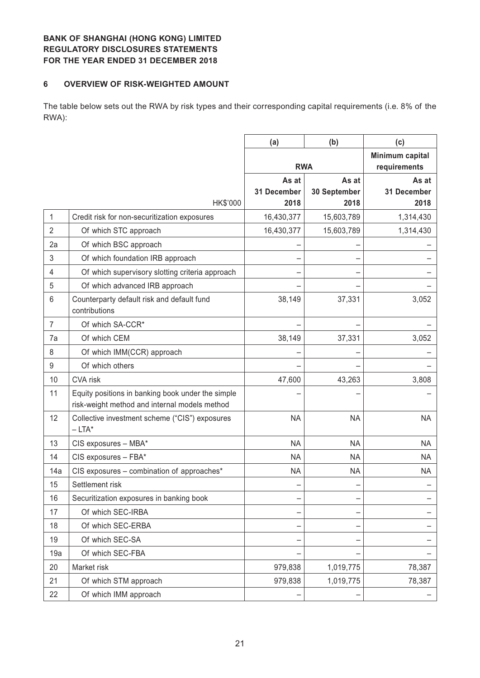#### **6 OVERVIEW OF RISK-WEIGHTED AMOUNT**

The table below sets out the RWA by risk types and their corresponding capital requirements (i.e. 8% of the RWA):

|                |                                                             | (a)                  | (b)                   | (c)                             |
|----------------|-------------------------------------------------------------|----------------------|-----------------------|---------------------------------|
|                |                                                             | <b>RWA</b>           |                       | Minimum capital<br>requirements |
|                |                                                             | As at<br>31 December | As at<br>30 September | As at<br>31 December            |
|                | HK\$'000                                                    | 2018                 | 2018                  | 2018                            |
| 1              | Credit risk for non-securitization exposures                | 16,430,377           | 15,603,789            | 1,314,430                       |
| $\overline{2}$ | Of which STC approach                                       | 16,430,377           | 15,603,789            | 1,314,430                       |
| 2a             | Of which BSC approach                                       |                      |                       |                                 |
| 3              | Of which foundation IRB approach                            |                      |                       |                                 |
| 4              | Of which supervisory slotting criteria approach             |                      |                       |                                 |
| 5              | Of which advanced IRB approach                              |                      |                       |                                 |
| 6              | Counterparty default risk and default fund<br>contributions | 38,149               | 37,331                | 3,052                           |
| $\overline{7}$ | Of which SA-CCR*                                            |                      |                       |                                 |
| 7a             | Of which CEM                                                | 38,149               | 37,331                | 3,052                           |
| 8              | Of which IMM(CCR) approach                                  |                      |                       |                                 |
| 9              | Of which others                                             |                      |                       |                                 |
| 10             | <b>CVA</b> risk                                             | 47,600               | 43,263                | 3,808                           |
| 11             | Equity positions in banking book under the simple           |                      |                       |                                 |
|                | risk-weight method and internal models method               |                      |                       |                                 |
| 12             | Collective investment scheme ("CIS") exposures<br>$-LTA^*$  | <b>NA</b>            | <b>NA</b>             | <b>NA</b>                       |
| 13             | CIS exposures - MBA*                                        | <b>NA</b>            | <b>NA</b>             | <b>NA</b>                       |
| 14             | CIS exposures - FBA*                                        | <b>NA</b>            | <b>NA</b>             | <b>NA</b>                       |
| 14a            | CIS exposures - combination of approaches*                  | <b>NA</b>            | <b>NA</b>             | <b>NA</b>                       |
| 15             | Settlement risk                                             |                      |                       |                                 |
| 16             | Securitization exposures in banking book                    | -                    |                       |                                 |
| 17             | Of which SEC-IRBA                                           |                      |                       |                                 |
| 18             | Of which SEC-ERBA                                           |                      |                       |                                 |
| 19             | Of which SEC-SA                                             |                      |                       |                                 |
| 19a            | Of which SEC-FBA                                            |                      |                       |                                 |
| 20             | Market risk                                                 | 979,838              | 1,019,775             | 78,387                          |
| 21             | Of which STM approach                                       | 979,838              | 1,019,775             | 78,387                          |
| 22             | Of which IMM approach                                       |                      |                       |                                 |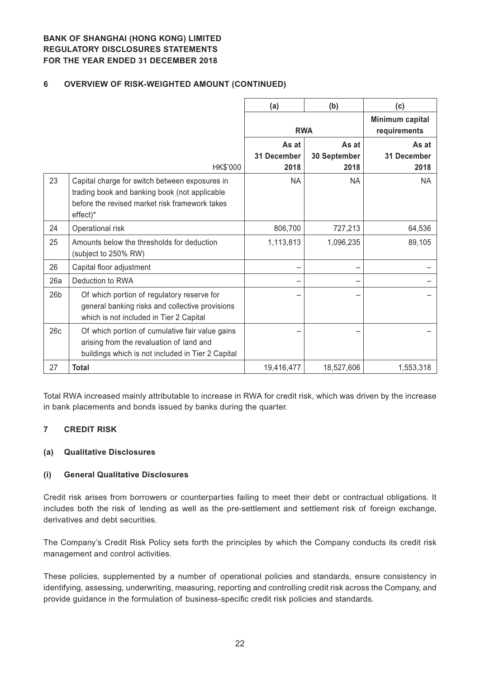### **6 OVERVIEW OF RISK-WEIGHTED AMOUNT (CONTINUED)**

|                 |                                                                                                                                                               | (a)                          | (b)                           | (c)                             |
|-----------------|---------------------------------------------------------------------------------------------------------------------------------------------------------------|------------------------------|-------------------------------|---------------------------------|
|                 |                                                                                                                                                               | <b>RWA</b>                   |                               | Minimum capital<br>requirements |
|                 | HK\$'000                                                                                                                                                      | As at<br>31 December<br>2018 | As at<br>30 September<br>2018 | As at<br>31 December<br>2018    |
| 23              | Capital charge for switch between exposures in<br>trading book and banking book (not applicable<br>before the revised market risk framework takes<br>effect)* | <b>NA</b>                    | <b>NA</b>                     | <b>NA</b>                       |
| 24              | Operational risk                                                                                                                                              | 806,700                      | 727,213                       | 64,536                          |
| 25              | Amounts below the thresholds for deduction<br>(subject to 250% RW)                                                                                            | 1,113,813                    | 1,096,235                     | 89,105                          |
| 26              | Capital floor adjustment                                                                                                                                      |                              |                               |                                 |
| 26a             | Deduction to RWA                                                                                                                                              |                              |                               |                                 |
| 26 <sub>b</sub> | Of which portion of regulatory reserve for<br>general banking risks and collective provisions<br>which is not included in Tier 2 Capital                      |                              |                               |                                 |
| 26c             | Of which portion of cumulative fair value gains<br>arising from the revaluation of land and<br>buildings which is not included in Tier 2 Capital              |                              |                               |                                 |
| 27              | <b>Total</b>                                                                                                                                                  | 19,416,477                   | 18,527,606                    | 1,553,318                       |

Total RWA increased mainly attributable to increase in RWA for credit risk, which was driven by the increase in bank placements and bonds issued by banks during the quarter.

#### **7 CREDIT RISK**

#### **(a) Qualitative Disclosures**

#### **(i) General Qualitative Disclosures**

Credit risk arises from borrowers or counterparties failing to meet their debt or contractual obligations. It includes both the risk of lending as well as the pre-settlement and settlement risk of foreign exchange, derivatives and debt securities.

The Company's Credit Risk Policy sets forth the principles by which the Company conducts its credit risk management and control activities.

These policies, supplemented by a number of operational policies and standards, ensure consistency in identifying, assessing, underwriting, measuring, reporting and controlling credit risk across the Company, and provide guidance in the formulation of business-specific credit risk policies and standards.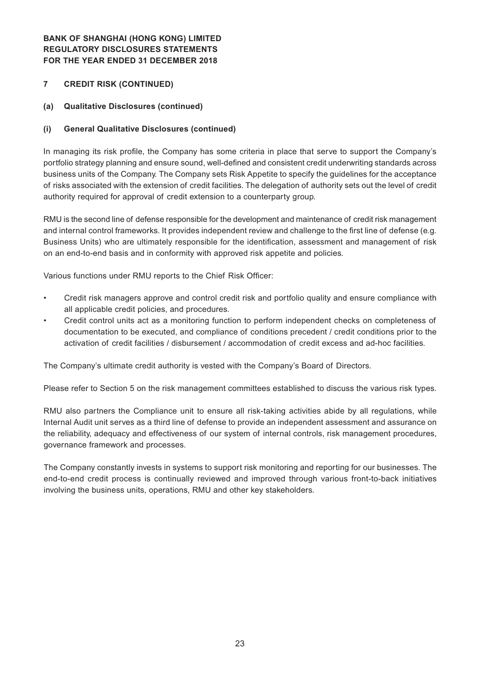### **7 CREDIT RISK (CONTINUED)**

#### **(a) Qualitative Disclosures (continued)**

#### **(i) General Qualitative Disclosures (continued)**

In managing its risk profile, the Company has some criteria in place that serve to support the Company's portfolio strategy planning and ensure sound, well-defined and consistent credit underwriting standards across business units of the Company. The Company sets Risk Appetite to specify the guidelines for the acceptance of risks associated with the extension of credit facilities. The delegation of authority sets out the level of credit authority required for approval of credit extension to a counterparty group.

RMU is the second line of defense responsible for the development and maintenance of credit risk management and internal control frameworks. It provides independent review and challenge to the first line of defense (e.g. Business Units) who are ultimately responsible for the identification, assessment and management of risk on an end-to-end basis and in conformity with approved risk appetite and policies.

Various functions under RMU reports to the Chief Risk Officer:

- Credit risk managers approve and control credit risk and portfolio quality and ensure compliance with all applicable credit policies, and procedures.
- Credit control units act as a monitoring function to perform independent checks on completeness of documentation to be executed, and compliance of conditions precedent / credit conditions prior to the activation of credit facilities / disbursement / accommodation of credit excess and ad-hoc facilities.

The Company's ultimate credit authority is vested with the Company's Board of Directors.

Please refer to Section 5 on the risk management committees established to discuss the various risk types.

RMU also partners the Compliance unit to ensure all risk-taking activities abide by all regulations, while Internal Audit unit serves as a third line of defense to provide an independent assessment and assurance on the reliability, adequacy and effectiveness of our system of internal controls, risk management procedures, governance framework and processes.

The Company constantly invests in systems to support risk monitoring and reporting for our businesses. The end-to-end credit process is continually reviewed and improved through various front-to-back initiatives involving the business units, operations, RMU and other key stakeholders.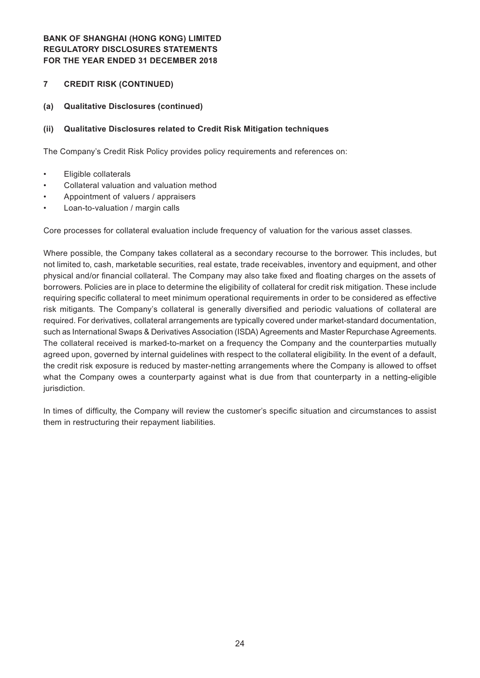#### **7 CREDIT RISK (CONTINUED)**

#### **(a) Qualitative Disclosures (continued)**

#### **(ii) Qualitative Disclosures related to Credit Risk Mitigation techniques**

The Company's Credit Risk Policy provides policy requirements and references on:

- • Eligible collaterals
- Collateral valuation and valuation method
- Appointment of valuers / appraisers
- Loan-to-valuation / margin calls

Core processes for collateral evaluation include frequency of valuation for the various asset classes.

Where possible, the Company takes collateral as a secondary recourse to the borrower. This includes, but not limited to, cash, marketable securities, real estate, trade receivables, inventory and equipment, and other physical and/or financial collateral. The Company may also take fixed and floating charges on the assets of borrowers. Policies are in place to determine the eligibility of collateral for credit risk mitigation. These include requiring specific collateral to meet minimum operational requirements in order to be considered as effective risk mitigants. The Company's collateral is generally diversified and periodic valuations of collateral are required. For derivatives, collateral arrangements are typically covered under market-standard documentation, such as International Swaps & Derivatives Association (ISDA) Agreements and Master Repurchase Agreements. The collateral received is marked-to-market on a frequency the Company and the counterparties mutually agreed upon, governed by internal guidelines with respect to the collateral eligibility. In the event of a default, the credit risk exposure is reduced by master-netting arrangements where the Company is allowed to offset what the Company owes a counterparty against what is due from that counterparty in a netting-eligible jurisdiction.

In times of difficulty, the Company will review the customer's specific situation and circumstances to assist them in restructuring their repayment liabilities.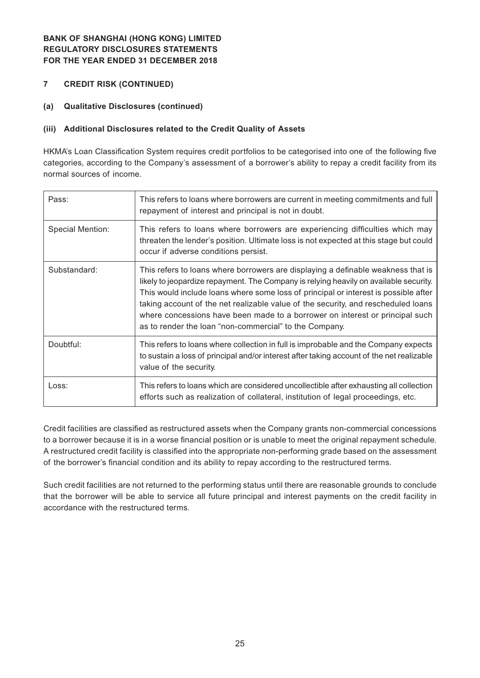- **7 CREDIT RISK (CONTINUED)**
- **(a) Qualitative Disclosures (continued)**

### **(iii) Additional Disclosures related to the Credit Quality of Assets**

HKMA's Loan Classification System requires credit portfolios to be categorised into one of the following five categories, according to the Company's assessment of a borrower's ability to repay a credit facility from its normal sources of income.

| Pass:            | This refers to loans where borrowers are current in meeting commitments and full<br>repayment of interest and principal is not in doubt.                                                                                                                                                                                                                                                                                                                                                        |
|------------------|-------------------------------------------------------------------------------------------------------------------------------------------------------------------------------------------------------------------------------------------------------------------------------------------------------------------------------------------------------------------------------------------------------------------------------------------------------------------------------------------------|
| Special Mention: | This refers to loans where borrowers are experiencing difficulties which may<br>threaten the lender's position. Ultimate loss is not expected at this stage but could<br>occur if adverse conditions persist.                                                                                                                                                                                                                                                                                   |
| Substandard:     | This refers to loans where borrowers are displaying a definable weakness that is<br>likely to jeopardize repayment. The Company is relying heavily on available security.<br>This would include loans where some loss of principal or interest is possible after<br>taking account of the net realizable value of the security, and rescheduled loans<br>where concessions have been made to a borrower on interest or principal such<br>as to render the loan "non-commercial" to the Company. |
| Doubtful:        | This refers to loans where collection in full is improbable and the Company expects<br>to sustain a loss of principal and/or interest after taking account of the net realizable<br>value of the security.                                                                                                                                                                                                                                                                                      |
| Loss:            | This refers to loans which are considered uncollectible after exhausting all collection<br>efforts such as realization of collateral, institution of legal proceedings, etc.                                                                                                                                                                                                                                                                                                                    |

Credit facilities are classified as restructured assets when the Company grants non-commercial concessions to a borrower because it is in a worse financial position or is unable to meet the original repayment schedule. A restructured credit facility is classified into the appropriate non-performing grade based on the assessment of the borrower's financial condition and its ability to repay according to the restructured terms.

Such credit facilities are not returned to the performing status until there are reasonable grounds to conclude that the borrower will be able to service all future principal and interest payments on the credit facility in accordance with the restructured terms.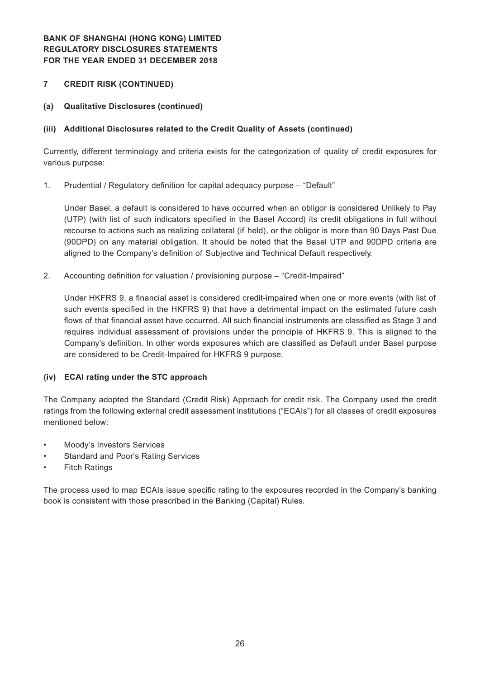### **7 CREDIT RISK (CONTINUED)**

**(a) Qualitative Disclosures (continued)**

### **(iii) Additional Disclosures related to the Credit Quality of Assets (continued)**

Currently, different terminology and criteria exists for the categorization of quality of credit exposures for various purpose:

1. Prudential / Regulatory definition for capital adequacy purpose - "Default"

Under Basel, a default is considered to have occurred when an obligor is considered Unlikely to Pay (UTP) (with list of such indicators specified in the Basel Accord) its credit obligations in full without recourse to actions such as realizing collateral (if held), or the obligor is more than 90 Days Past Due (90DPD) on any material obligation. It should be noted that the Basel UTP and 90DPD criteria are aligned to the Company's definition of Subjective and Technical Default respectively.

2. Accounting definition for valuation / provisioning purpose – "Credit-Impaired"

Under HKFRS 9, a financial asset is considered credit-impaired when one or more events (with list of such events specified in the HKFRS 9) that have a detrimental impact on the estimated future cash flows of that financial asset have occurred. All such financial instruments are classified as Stage 3 and requires individual assessment of provisions under the principle of HKFRS 9. This is aligned to the Company's definition. In other words exposures which are classified as Default under Basel purpose are considered to be Credit-Impaired for HKFRS 9 purpose.

#### **(iv) ECAI rating under the STC approach**

The Company adopted the Standard (Credit Risk) Approach for credit risk. The Company used the credit ratings from the following external credit assessment institutions ("ECAIs") for all classes of credit exposures mentioned below:

- Moody's Investors Services
- Standard and Poor's Rating Services
- **Fitch Ratings**

The process used to map ECAIs issue specific rating to the exposures recorded in the Company's banking book is consistent with those prescribed in the Banking (Capital) Rules.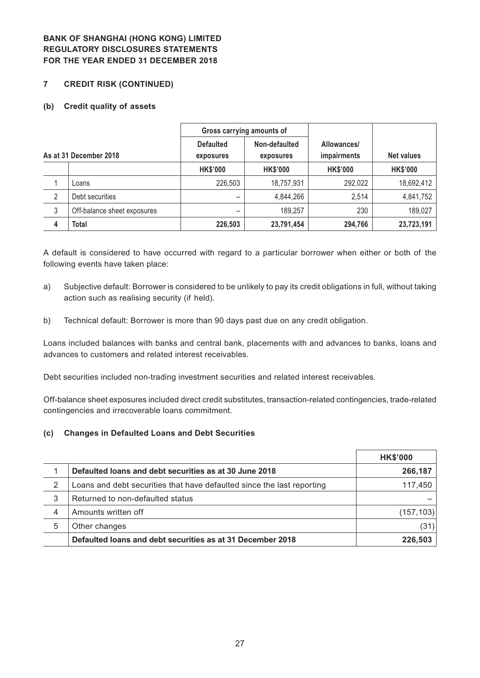#### **7 CREDIT RISK (CONTINUED)**

#### **(b) Credit quality of assets**

|   |                             | Gross carrying amounts of     |                            |                                   |                   |
|---|-----------------------------|-------------------------------|----------------------------|-----------------------------------|-------------------|
|   | As at 31 December 2018      | <b>Defaulted</b><br>exposures | Non-defaulted<br>exposures | Allowances/<br><i>impairments</i> | <b>Net values</b> |
|   |                             | <b>HK\$'000</b>               | <b>HK\$'000</b>            | <b>HK\$'000</b>                   | <b>HK\$'000</b>   |
|   | Loans                       | 226,503                       | 18,757,931                 | 292,022                           | 18,692,412        |
| 2 | Debt securities             |                               | 4,844,266                  | 2,514                             | 4,841,752         |
| 3 | Off-balance sheet exposures |                               | 189,257                    | 230                               | 189,027           |
| 4 | Total                       | 226,503                       | 23,791,454                 | 294,766                           | 23,723,191        |

A default is considered to have occurred with regard to a particular borrower when either or both of the following events have taken place:

- a) Subjective default: Borrower is considered to be unlikely to pay its credit obligations in full, without taking action such as realising security (if held).
- b) Technical default: Borrower is more than 90 days past due on any credit obligation.

Loans included balances with banks and central bank, placements with and advances to banks, loans and advances to customers and related interest receivables.

Debt securities included non-trading investment securities and related interest receivables.

Off-balance sheet exposures included direct credit substitutes, transaction-related contingencies, trade-related contingencies and irrecoverable loans commitment.

#### **(c) Changes in Defaulted Loans and Debt Securities**

|   |                                                                        | <b>HK\$'000</b> |
|---|------------------------------------------------------------------------|-----------------|
|   | Defaulted loans and debt securities as at 30 June 2018                 | 266,187         |
| 2 | Loans and debt securities that have defaulted since the last reporting | 117,450         |
| 3 | Returned to non-defaulted status                                       |                 |
| 4 | Amounts written off                                                    | (157, 103)      |
| 5 | Other changes                                                          | (31)            |
|   | Defaulted loans and debt securities as at 31 December 2018             | 226,503         |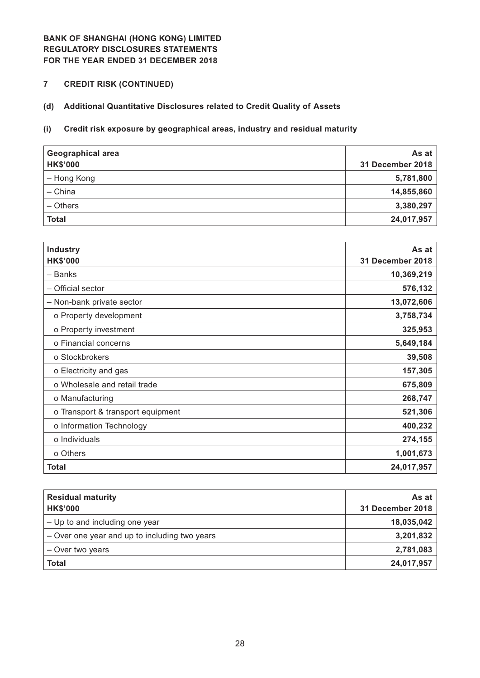**7 CREDIT RISK (CONTINUED)**

# **(d) Additional Quantitative Disclosures related to Credit Quality of Assets**

### **(i) Credit risk exposure by geographical areas, industry and residual maturity**

| <b>Geographical area</b><br><b>HK\$'000</b> | As at<br>31 December 2018 |
|---------------------------------------------|---------------------------|
| - Hong Kong                                 | 5,781,800                 |
| - China                                     | 14,855,860                |
| - Others                                    | 3,380,297                 |
| <b>Total</b>                                | 24,017,957                |

| <b>Industry</b><br><b>HK\$'000</b> | As at<br>31 December 2018 |
|------------------------------------|---------------------------|
| - Banks                            | 10,369,219                |
| - Official sector                  | 576,132                   |
| - Non-bank private sector          | 13,072,606                |
| o Property development             | 3,758,734                 |
| o Property investment              | 325,953                   |
| o Financial concerns               | 5,649,184                 |
| o Stockbrokers                     | 39,508                    |
| o Electricity and gas              | 157,305                   |
| o Wholesale and retail trade       | 675,809                   |
| o Manufacturing                    | 268,747                   |
| o Transport & transport equipment  | 521,306                   |
| o Information Technology           | 400,232                   |
| o Individuals                      | 274,155                   |
| o Others                           | 1,001,673                 |
| <b>Total</b>                       | 24,017,957                |

| <b>Residual maturity</b><br><b>HK\$'000</b>   | As at<br>31 December 2018 |
|-----------------------------------------------|---------------------------|
| - Up to and including one year                | 18,035,042                |
| - Over one year and up to including two years | 3,201,832                 |
| - Over two years                              | 2,781,083                 |
| <b>Total</b>                                  | 24,017,957                |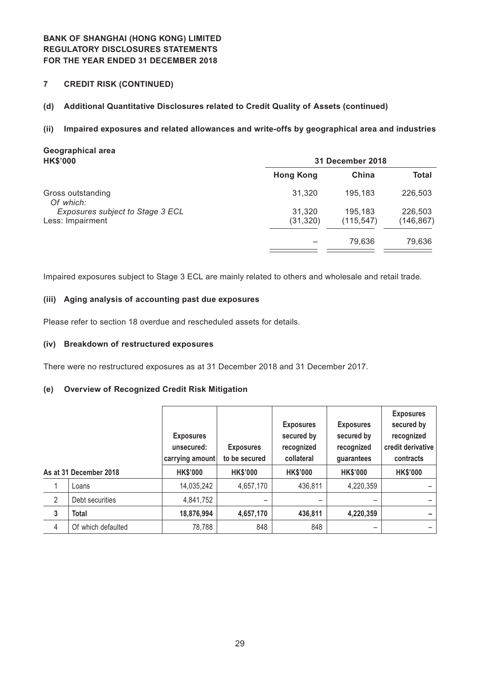**7 CREDIT RISK (CONTINUED)**

#### **(d) Additional Quantitative Disclosures related to Credit Quality of Assets (continued)**

#### **(ii) Impaired exposures and related allowances and write-offs by geographical area and industries**

# **Geographical area HK\$'000 31 December 2018 Hong Kong China Total** Gross outstanding **31,320** 195,183 226,503 *Of which: Exposures subject to Stage 3 ECL* 31,320 195,183 226,503 Less: Impairment (31,320) (115,547) (146,867) – 79,636 79,636

Impaired exposures subject to Stage 3 ECL are mainly related to others and wholesale and retail trade.

#### **(iii) Aging analysis of accounting past due exposures**

Please refer to section 18 overdue and rescheduled assets for details.

#### **(iv) Breakdown of restructured exposures**

There were no restructured exposures as at 31 December 2018 and 31 December 2017.

#### **(e) Overview of Recognized Credit Risk Mitigation**

|              |                        | <b>Exposures</b><br>unsecured:<br>carrying amount | <b>Exposures</b><br>to be secured | <b>Exposures</b><br>secured by<br>recognized<br>collateral | <b>Exposures</b><br>secured by<br>recognized<br>guarantees | <b>Exposures</b><br>secured by<br>recognized<br>credit derivative<br>contracts |
|--------------|------------------------|---------------------------------------------------|-----------------------------------|------------------------------------------------------------|------------------------------------------------------------|--------------------------------------------------------------------------------|
|              | As at 31 December 2018 | <b>HK\$'000</b>                                   | <b>HK\$'000</b>                   | <b>HK\$'000</b>                                            | <b>HK\$'000</b>                                            | <b>HK\$'000</b>                                                                |
|              | Loans                  | 14,035,242                                        | 4,657,170                         | 436,811                                                    | 4,220,359                                                  |                                                                                |
| 2            | Debt securities        | 4,841,752                                         | -                                 |                                                            |                                                            |                                                                                |
| $\mathbf{3}$ | <b>Total</b>           | 18,876,994                                        | 4,657,170                         | 436,811                                                    | 4,220,359                                                  |                                                                                |
| 4            | Of which defaulted     | 78,788                                            | 848                               | 848                                                        | -                                                          |                                                                                |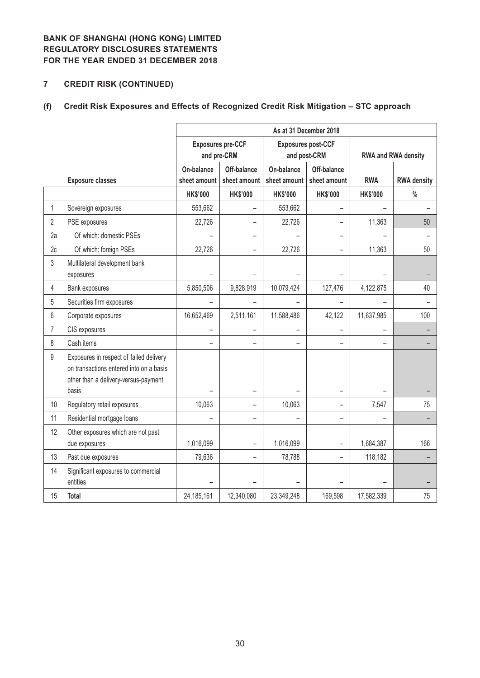# **7 CREDIT RISK (CONTINUED)**

# **(f) Credit Risk Exposures and Effects of Recognized Credit Risk Mitigation – STC approach**

|                |                                                                                                                                     | As at 31 December 2018     |                                         |                            |                                           |                     |                    |  |  |  |  |
|----------------|-------------------------------------------------------------------------------------------------------------------------------------|----------------------------|-----------------------------------------|----------------------------|-------------------------------------------|---------------------|--------------------|--|--|--|--|
|                |                                                                                                                                     |                            | <b>Exposures pre-CCF</b><br>and pre-CRM |                            | <b>Exposures post-CCF</b><br>and post-CRM | RWA and RWA density |                    |  |  |  |  |
|                | <b>Exposure classes</b>                                                                                                             | On-balance<br>sheet amount | Off-balance<br>sheet amount             | On-balance<br>sheet amount | Off-balance<br>sheet amount               | <b>RWA</b>          | <b>RWA density</b> |  |  |  |  |
|                |                                                                                                                                     | <b>HK\$'000</b>            | <b>HK\$'000</b>                         | <b>HK\$'000</b>            | <b>HK\$'000</b>                           | <b>HK\$'000</b>     | $\frac{0}{0}$      |  |  |  |  |
| $\mathbf{1}$   | Sovereign exposures                                                                                                                 | 553,662                    | -                                       | 553,662                    |                                           |                     |                    |  |  |  |  |
| $\overline{2}$ | PSE exposures                                                                                                                       | 22,726                     |                                         | 22,726                     |                                           | 11,363              | 50                 |  |  |  |  |
| 2a             | Of which: domestic PSEs                                                                                                             |                            | -                                       |                            |                                           |                     |                    |  |  |  |  |
| 2c             | Of which: foreign PSEs                                                                                                              | 22,726                     | -                                       | 22,726                     |                                           | 11,363              | 50                 |  |  |  |  |
| 3              | Multilateral development bank<br>exposures                                                                                          |                            |                                         |                            |                                           |                     |                    |  |  |  |  |
| $\overline{4}$ | Bank exposures                                                                                                                      | 5,850,506                  | 9,828,919                               | 10,079,424                 | 127,476                                   | 4,122,875           | 40                 |  |  |  |  |
| 5              | Securities firm exposures                                                                                                           |                            |                                         |                            |                                           |                     |                    |  |  |  |  |
| 6              | Corporate exposures                                                                                                                 | 16,652,469                 | 2,511,161                               | 11,588,486                 | 42,122                                    | 11,637,985          | 100                |  |  |  |  |
| $\overline{7}$ | CIS exposures                                                                                                                       |                            |                                         |                            |                                           |                     |                    |  |  |  |  |
| 8              | Cash items                                                                                                                          |                            |                                         |                            |                                           |                     |                    |  |  |  |  |
| 9              | Exposures in respect of failed delivery<br>on transactions entered into on a basis<br>other than a delivery-versus-payment<br>basis |                            | -                                       |                            |                                           |                     |                    |  |  |  |  |
| 10             | Regulatory retail exposures                                                                                                         | 10,063                     | -                                       | 10,063                     |                                           | 7,547               | 75                 |  |  |  |  |
| 11             | Residential mortgage loans                                                                                                          |                            | $\overline{\phantom{0}}$                |                            |                                           |                     |                    |  |  |  |  |
| 12             | Other exposures which are not past<br>due exposures                                                                                 | 1,016,099                  | -                                       | 1,016,099                  |                                           | 1,684,387           | 166                |  |  |  |  |
| 13             | Past due exposures                                                                                                                  | 79,636                     | -                                       | 78,788                     | $\overline{\phantom{0}}$                  | 118,182             |                    |  |  |  |  |
| 14             | Significant exposures to commercial<br>entities                                                                                     |                            |                                         |                            |                                           |                     |                    |  |  |  |  |
| 15             | <b>Total</b>                                                                                                                        | 24, 185, 161               | 12,340,080                              | 23,349,248                 | 169,598                                   | 17,582,339          | 75                 |  |  |  |  |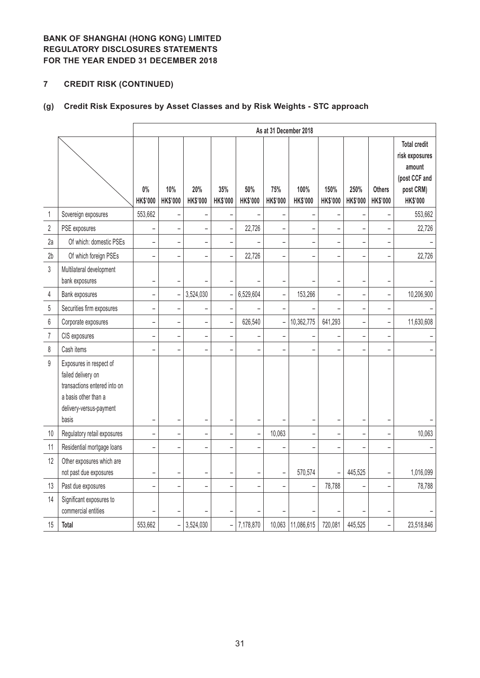# **7 CREDIT RISK (CONTINUED)**

# **(g) Credit Risk Exposures by Asset Classes and by Risk Weights - STC approach**

|                  |                                                                                                                                           |                          |                          |                        |                          |                        |                        | As at 31 December 2018   |                          |                          |                                  |                                                                                                  |
|------------------|-------------------------------------------------------------------------------------------------------------------------------------------|--------------------------|--------------------------|------------------------|--------------------------|------------------------|------------------------|--------------------------|--------------------------|--------------------------|----------------------------------|--------------------------------------------------------------------------------------------------|
|                  |                                                                                                                                           | $0\%$<br><b>HK\$'000</b> | 10%<br>HK\$'000          | 20%<br><b>HK\$'000</b> | 35%<br><b>HK\$'000</b>   | 50%<br><b>HK\$'000</b> | 75%<br><b>HK\$'000</b> | 100%<br>HK\$'000         | 150%<br>HK\$'000         | 250%<br>HK\$'000         | <b>Others</b><br><b>HK\$'000</b> | <b>Total credit</b><br>risk exposures<br>amount<br>(post CCF and<br>post CRM)<br><b>HK\$'000</b> |
| $\mathbf 1$      | Sovereign exposures                                                                                                                       | 553,662                  |                          |                        |                          |                        |                        | $\overline{a}$           |                          |                          |                                  | 553,662                                                                                          |
| $\sqrt{2}$       | PSE exposures                                                                                                                             |                          |                          |                        |                          | 22,726                 |                        |                          |                          |                          |                                  | 22,726                                                                                           |
| 2a               | Of which: domestic PSEs                                                                                                                   | $\overline{\phantom{0}}$ |                          |                        |                          |                        |                        | $\overline{a}$           | $\overline{\phantom{0}}$ | ÷,                       |                                  |                                                                                                  |
| 2 <sub>b</sub>   | Of which foreign PSEs                                                                                                                     |                          |                          |                        |                          | 22,726                 |                        |                          | $\overline{\phantom{0}}$ |                          |                                  | 22,726                                                                                           |
| 3                | Multilateral development<br>bank exposures                                                                                                | -                        |                          |                        |                          |                        |                        |                          | $\overline{\phantom{0}}$ | <sup>-</sup>             |                                  |                                                                                                  |
| 4                | Bank exposures                                                                                                                            | $\overline{a}$           | $\overline{a}$           | 3,524,030              |                          | 6,529,604              | $\overline{a}$         | 153,266                  | $\overline{a}$           | $\overline{a}$           | L.                               | 10,206,900                                                                                       |
| $5\,$            | Securities firm exposures                                                                                                                 | $\overline{\phantom{0}}$ | $\overline{\phantom{0}}$ | -                      | -                        |                        |                        |                          | L                        | -                        | -                                |                                                                                                  |
| $\boldsymbol{6}$ | Corporate exposures                                                                                                                       | $\overline{a}$           | $\overline{a}$           | -                      |                          | 626,540                | -                      | 10,362,775               | 641,293                  | $\overline{\phantom{0}}$ | $\overline{\phantom{0}}$         | 11,630,608                                                                                       |
| $\overline{7}$   | CIS exposures                                                                                                                             | $\overline{a}$           | $\overline{a}$           | -                      | $\overline{a}$           |                        |                        |                          | $\overline{a}$           | $\overline{\phantom{0}}$ | $\overline{a}$                   |                                                                                                  |
| 8                | Cash items                                                                                                                                |                          |                          |                        |                          |                        |                        |                          |                          |                          |                                  |                                                                                                  |
| $\mathsf g$      | Exposures in respect of<br>failed delivery on<br>transactions entered into on<br>a basis other than a<br>delivery-versus-payment<br>basis |                          |                          |                        |                          |                        |                        |                          |                          |                          |                                  |                                                                                                  |
| $10$             | Regulatory retail exposures                                                                                                               | $\overline{\phantom{0}}$ |                          | -                      |                          | -                      | 10,063                 | $\overline{\phantom{0}}$ | -                        | $\overline{\phantom{0}}$ |                                  | 10,063                                                                                           |
| 11               | Residential mortgage loans                                                                                                                |                          |                          |                        |                          |                        |                        |                          |                          |                          |                                  |                                                                                                  |
| 12               | Other exposures which are<br>not past due exposures                                                                                       | $\overline{a}$           | $\overline{\phantom{0}}$ |                        | $\overline{\phantom{0}}$ |                        | -                      | 570,574                  |                          | 445,525                  | $\overline{\phantom{0}}$         | 1,016,099                                                                                        |
| 13               | Past due exposures                                                                                                                        | ÷                        |                          |                        |                          |                        |                        |                          | 78,788                   |                          |                                  | 78,788                                                                                           |
| 14               | Significant exposures to<br>commercial entities                                                                                           |                          |                          |                        |                          |                        |                        |                          |                          |                          |                                  |                                                                                                  |
| 15               | <b>Total</b>                                                                                                                              | 553,662                  | $\overline{a}$           | 3,524,030              | $\overline{a}$           | 7,178,870              |                        | 10,063 11,086,615        | 720,081                  | 445,525                  | -                                | 23,518,846                                                                                       |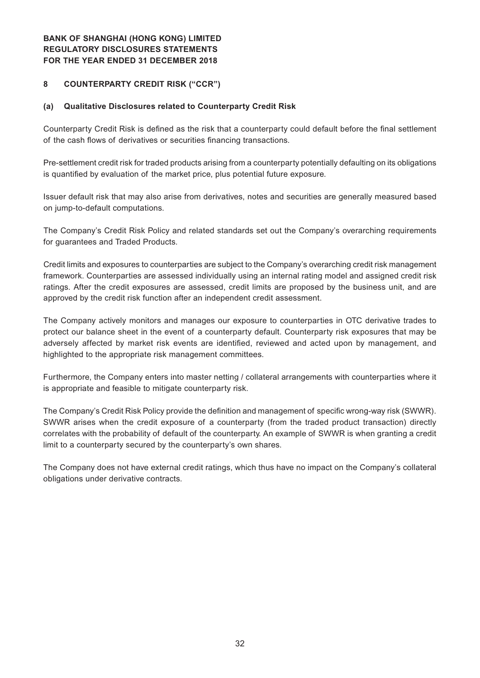#### **8 COUNTERPARTY CREDIT RISK ("CCR")**

#### **(a) Qualitative Disclosures related to Counterparty Credit Risk**

Counterparty Credit Risk is defined as the risk that a counterparty could default before the final settlement of the cash flows of derivatives or securities financing transactions.

Pre-settlement credit risk for traded products arising from a counterparty potentially defaulting on its obligations is quantified by evaluation of the market price, plus potential future exposure.

Issuer default risk that may also arise from derivatives, notes and securities are generally measured based on jump-to-default computations.

The Company's Credit Risk Policy and related standards set out the Company's overarching requirements for guarantees and Traded Products.

Credit limits and exposures to counterparties are subject to the Company's overarching credit risk management framework. Counterparties are assessed individually using an internal rating model and assigned credit risk ratings. After the credit exposures are assessed, credit limits are proposed by the business unit, and are approved by the credit risk function after an independent credit assessment.

The Company actively monitors and manages our exposure to counterparties in OTC derivative trades to protect our balance sheet in the event of a counterparty default. Counterparty risk exposures that may be adversely affected by market risk events are identified, reviewed and acted upon by management, and highlighted to the appropriate risk management committees.

Furthermore, the Company enters into master netting / collateral arrangements with counterparties where it is appropriate and feasible to mitigate counterparty risk.

The Company's Credit Risk Policy provide the definition and management of specific wrong-way risk (SWWR). SWWR arises when the credit exposure of a counterparty (from the traded product transaction) directly correlates with the probability of default of the counterparty. An example of SWWR is when granting a credit limit to a counterparty secured by the counterparty's own shares.

The Company does not have external credit ratings, which thus have no impact on the Company's collateral obligations under derivative contracts.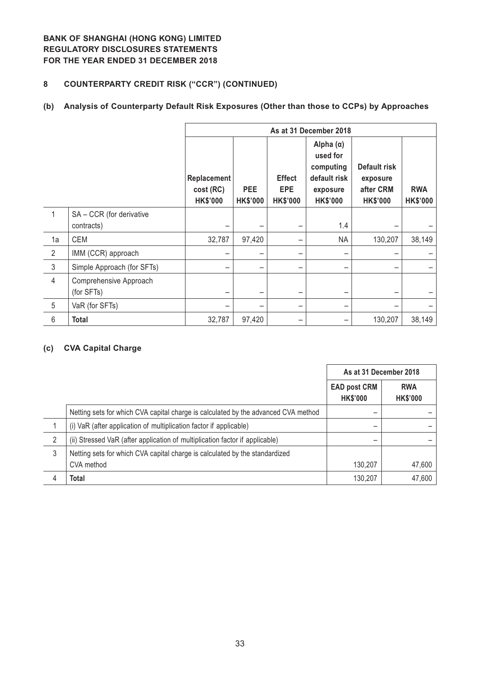# **8 COUNTERPARTY CREDIT RISK ("CCR") (CONTINUED)**

### **(b) Analysis of Counterparty Default Risk Exposures (Other than those to CCPs) by Approaches**

|                |                                      | As at 31 December 2018                      |                               |                                                |                                                                                          |                                                          |                               |  |  |
|----------------|--------------------------------------|---------------------------------------------|-------------------------------|------------------------------------------------|------------------------------------------------------------------------------------------|----------------------------------------------------------|-------------------------------|--|--|
|                |                                      | Replacement<br>cost (RC)<br><b>HK\$'000</b> | <b>PEE</b><br><b>HK\$'000</b> | <b>Effect</b><br><b>EPE</b><br><b>HK\$'000</b> | Alpha $(\alpha)$<br>used for<br>computing<br>default risk<br>exposure<br><b>HK\$'000</b> | Default risk<br>exposure<br>after CRM<br><b>HK\$'000</b> | <b>RWA</b><br><b>HK\$'000</b> |  |  |
| 1              | SA - CCR (for derivative             |                                             |                               |                                                |                                                                                          |                                                          |                               |  |  |
|                | contracts)                           |                                             |                               |                                                | 1.4                                                                                      |                                                          |                               |  |  |
| 1a             | <b>CEM</b>                           | 32,787                                      | 97,420                        |                                                | <b>NA</b>                                                                                | 130,207                                                  | 38,149                        |  |  |
| 2              | IMM (CCR) approach                   |                                             |                               |                                                |                                                                                          |                                                          |                               |  |  |
| $\mathfrak{Z}$ | Simple Approach (for SFTs)           |                                             |                               |                                                |                                                                                          |                                                          |                               |  |  |
| $\overline{4}$ | Comprehensive Approach<br>(for SFTs) |                                             |                               |                                                |                                                                                          |                                                          |                               |  |  |
| $\overline{5}$ | VaR (for SFTs)                       |                                             |                               |                                                |                                                                                          |                                                          |                               |  |  |
| 6              | <b>Total</b>                         | 32,787                                      | 97,420                        |                                                |                                                                                          | 130,207                                                  | 38,149                        |  |  |

#### **(c) CVA Capital Charge**

|   |                                                                                    | As at 31 December 2018                 |                               |
|---|------------------------------------------------------------------------------------|----------------------------------------|-------------------------------|
|   |                                                                                    | <b>EAD post CRM</b><br><b>HK\$'000</b> | <b>RWA</b><br><b>HK\$'000</b> |
|   | Netting sets for which CVA capital charge is calculated by the advanced CVA method |                                        |                               |
|   | (i) VaR (after application of multiplication factor if applicable)                 | -                                      |                               |
| 2 | (ii) Stressed VaR (after application of multiplication factor if applicable)       |                                        |                               |
| 3 | Netting sets for which CVA capital charge is calculated by the standardized        |                                        |                               |
|   | CVA method                                                                         | 130,207                                | 47,600                        |
| 4 | Total                                                                              | 130,207                                | 47,600                        |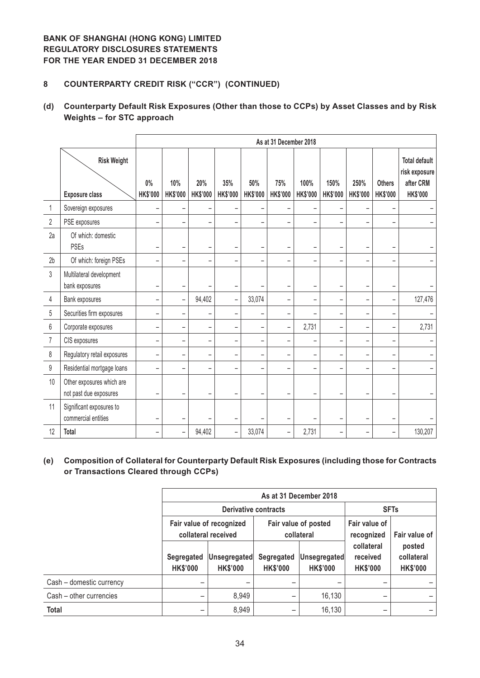### **8 COUNTERPARTY CREDIT RISK ("CCR") (CONTINUED)**

### **(d) Counterparty Default Risk Exposures (Other than those to CCPs) by Asset Classes and by Risk Weights – for STC approach**

|                  |                                                     |                          |                          |                          |                          |                        | As at 31 December 2018   |                         |                          |                          |                                  |                                                                       |
|------------------|-----------------------------------------------------|--------------------------|--------------------------|--------------------------|--------------------------|------------------------|--------------------------|-------------------------|--------------------------|--------------------------|----------------------------------|-----------------------------------------------------------------------|
|                  | <b>Risk Weight</b><br><b>Exposure class</b>         | $0\%$<br><b>HK\$'000</b> | 10%<br><b>HK\$'000</b>   | 20%<br><b>HK\$'000</b>   | 35%<br><b>HK\$'000</b>   | 50%<br><b>HK\$'000</b> | 75%<br><b>HK\$'000</b>   | 100%<br><b>HK\$'000</b> | 150%<br><b>HK\$'000</b>  | 250%<br><b>HK\$'000</b>  | <b>Others</b><br><b>HK\$'000</b> | <b>Total default</b><br>risk exposure<br>after CRM<br><b>HK\$'000</b> |
| 1                | Sovereign exposures                                 |                          | $\qquad \qquad -$        |                          | $\qquad \qquad -$        |                        |                          |                         |                          |                          |                                  |                                                                       |
| $\overline{2}$   | PSE exposures                                       |                          | $\overline{\phantom{0}}$ |                          | $\overline{\phantom{0}}$ |                        |                          |                         |                          |                          |                                  |                                                                       |
| 2a               | Of which: domestic<br><b>PSEs</b>                   |                          | $\qquad \qquad -$        |                          | $\qquad \qquad -$        |                        | $\overline{\phantom{0}}$ |                         | $\qquad \qquad -$        |                          |                                  |                                                                       |
| 2 <sub>b</sub>   | Of which: foreign PSEs                              |                          | $\overline{\phantom{0}}$ | $\equiv$                 | $\equiv$                 |                        | $\overline{\phantom{0}}$ |                         | $\overline{\phantom{0}}$ |                          | $\overline{\phantom{a}}$         |                                                                       |
| $\overline{3}$   | Multilateral development<br>bank exposures          |                          | -                        |                          | $\overline{\phantom{0}}$ |                        | $\overline{\phantom{0}}$ |                         | $\overline{\phantom{0}}$ |                          |                                  |                                                                       |
| 4                | Bank exposures                                      | -                        | $\qquad \qquad -$        | 94,402                   | $\overline{\phantom{0}}$ | 33,074                 | $\overline{\phantom{0}}$ | -                       | $\overline{\phantom{a}}$ | $\equiv$                 | $\overline{\phantom{0}}$         | 127,476                                                               |
| 5                | Securities firm exposures                           | $\overline{\phantom{0}}$ | $\qquad \qquad -$        |                          | -                        |                        | $\overline{\phantom{0}}$ |                         | $\overline{\phantom{0}}$ | $\overline{\phantom{0}}$ | $\overline{\phantom{m}}$         |                                                                       |
| 6                | Corporate exposures                                 |                          | $\overline{\phantom{0}}$ |                          | ۳                        |                        | $\qquad \qquad -$        | 2,731                   | $\overline{\phantom{0}}$ |                          |                                  | 2,731                                                                 |
| $\overline{7}$   | CIS exposures                                       | ۳                        | -                        | $\equiv$                 | -                        |                        | $\overline{\phantom{0}}$ |                         | $\overline{\phantom{0}}$ | $\equiv$                 | $\equiv$                         |                                                                       |
| 8                | Regulatory retail exposures                         | -                        | $\qquad \qquad -$        | $\overline{\phantom{0}}$ | $\qquad \qquad -$        |                        | $\overline{\phantom{0}}$ |                         | $\overline{\phantom{0}}$ | $\equiv$                 | $\overline{\phantom{0}}$         |                                                                       |
| $\boldsymbol{9}$ | Residential mortgage loans                          |                          | $\overline{\phantom{0}}$ |                          |                          |                        |                          |                         |                          |                          |                                  |                                                                       |
| 10               | Other exposures which are<br>not past due exposures |                          | $\overline{\phantom{0}}$ |                          | ۳                        |                        |                          |                         |                          |                          |                                  |                                                                       |
| 11               | Significant exposures to<br>commercial entities     | $\overline{\phantom{0}}$ | $\overline{\phantom{0}}$ |                          | ۰                        |                        | $\overline{\phantom{0}}$ |                         |                          | $\overline{\phantom{0}}$ |                                  |                                                                       |
| 12               | Total                                               | $\overline{\phantom{0}}$ | -                        | 94,402                   | $\qquad \qquad -$        | 33,074                 | $\overline{\phantom{a}}$ | 2,731                   | $\overline{\phantom{0}}$ | -                        | $\equiv$                         | 130,207                                                               |

### **(e) Composition of Collateral for Counterparty Default Risk Exposures (including those for Contracts or Transactions Cleared through CCPs)**

|                          | As at 31 December 2018                          |                                 |                               |                                    |                                           |                                         |  |  |
|--------------------------|-------------------------------------------------|---------------------------------|-------------------------------|------------------------------------|-------------------------------------------|-----------------------------------------|--|--|
|                          |                                                 | Derivative contracts            |                               |                                    | <b>SFTs</b>                               |                                         |  |  |
|                          | Fair value of recognized<br>collateral received |                                 |                               | Fair value of posted<br>collateral | Fair value of<br>recognized               | Fair value of                           |  |  |
|                          | Segregated<br><b>HK\$'000</b>                   | Unsegregated<br><b>HK\$'000</b> | Segregated<br><b>HK\$'000</b> | Unsegregated<br><b>HK\$'000</b>    | collateral<br>received<br><b>HK\$'000</b> | posted<br>collateral<br><b>HK\$'000</b> |  |  |
| Cash - domestic currency |                                                 |                                 |                               |                                    |                                           |                                         |  |  |
| Cash - other currencies  |                                                 | 8,949                           |                               | 16,130                             |                                           |                                         |  |  |
| <b>Total</b>             |                                                 | 8,949                           |                               | 16,130                             |                                           |                                         |  |  |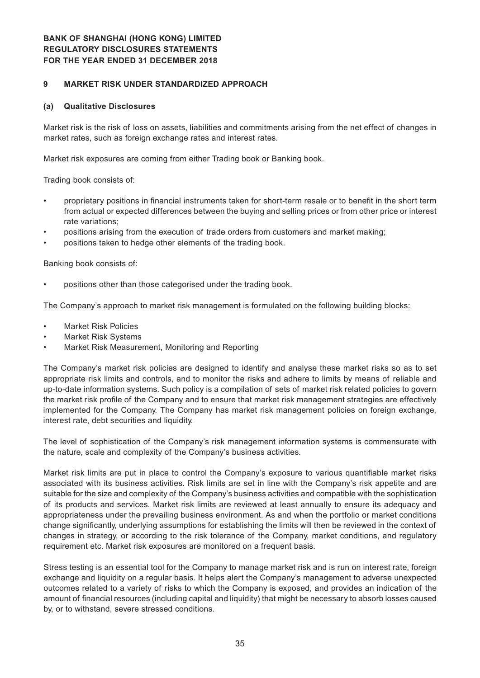#### **9 MARKET RISK UNDER STANDARDIZED APPROACH**

#### **(a) Qualitative Disclosures**

Market risk is the risk of loss on assets, liabilities and commitments arising from the net effect of changes in market rates, such as foreign exchange rates and interest rates.

Market risk exposures are coming from either Trading book or Banking book.

Trading book consists of:

- proprietary positions in financial instruments taken for short-term resale or to benefit in the short term from actual or expected differences between the buying and selling prices or from other price or interest rate variations;
- positions arising from the execution of trade orders from customers and market making;
- positions taken to hedge other elements of the trading book.

Banking book consists of:

positions other than those categorised under the trading book.

The Company's approach to market risk management is formulated on the following building blocks:

- **Market Risk Policies**
- **Market Risk Systems**
- Market Risk Measurement, Monitoring and Reporting

The Company's market risk policies are designed to identify and analyse these market risks so as to set appropriate risk limits and controls, and to monitor the risks and adhere to limits by means of reliable and up-to-date information systems. Such policy is a compilation of sets of market risk related policies to govern the market risk profile of the Company and to ensure that market risk management strategies are effectively implemented for the Company. The Company has market risk management policies on foreign exchange, interest rate, debt securities and liquidity.

The level of sophistication of the Company's risk management information systems is commensurate with the nature, scale and complexity of the Company's business activities.

Market risk limits are put in place to control the Company's exposure to various quantifiable market risks associated with its business activities. Risk limits are set in line with the Company's risk appetite and are suitable for the size and complexity of the Company's business activities and compatible with the sophistication of its products and services. Market risk limits are reviewed at least annually to ensure its adequacy and appropriateness under the prevailing business environment. As and when the portfolio or market conditions change significantly, underlying assumptions for establishing the limits will then be reviewed in the context of changes in strategy, or according to the risk tolerance of the Company, market conditions, and regulatory requirement etc. Market risk exposures are monitored on a frequent basis.

Stress testing is an essential tool for the Company to manage market risk and is run on interest rate, foreign exchange and liquidity on a regular basis. It helps alert the Company's management to adverse unexpected outcomes related to a variety of risks to which the Company is exposed, and provides an indication of the amount of financial resources (including capital and liquidity) that might be necessary to absorb losses caused by, or to withstand, severe stressed conditions.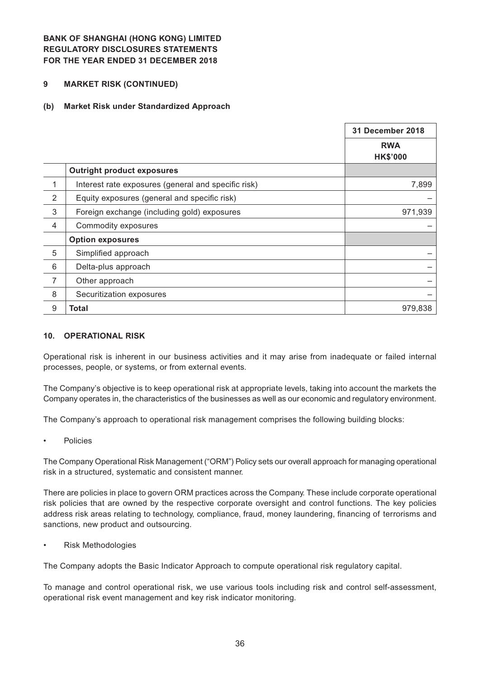#### **9 MARKET RISK (CONTINUED)**

#### **(b) Market Risk under Standardized Approach**

|                |                                                     | 31 December 2018              |
|----------------|-----------------------------------------------------|-------------------------------|
|                |                                                     | <b>RWA</b><br><b>HK\$'000</b> |
|                | <b>Outright product exposures</b>                   |                               |
| 1              | Interest rate exposures (general and specific risk) | 7,899                         |
| $\overline{2}$ | Equity exposures (general and specific risk)        |                               |
| 3              | Foreign exchange (including gold) exposures         | 971,939                       |
| $\overline{4}$ | Commodity exposures                                 |                               |
|                | <b>Option exposures</b>                             |                               |
| 5              | Simplified approach                                 |                               |
| 6              | Delta-plus approach                                 |                               |
| 7              | Other approach                                      |                               |
| 8              | Securitization exposures                            |                               |
| 9              | Total                                               | 979,838                       |

#### **10. OPERATIONAL RISK**

Operational risk is inherent in our business activities and it may arise from inadequate or failed internal processes, people, or systems, or from external events.

The Company's objective is to keep operational risk at appropriate levels, taking into account the markets the Company operates in, the characteristics of the businesses as well as our economic and regulatory environment.

The Company's approach to operational risk management comprises the following building blocks:

**Policies** 

The Company Operational Risk Management ("ORM") Policy sets our overall approach for managing operational risk in a structured, systematic and consistent manner.

There are policies in place to govern ORM practices across the Company. These include corporate operational risk policies that are owned by the respective corporate oversight and control functions. The key policies address risk areas relating to technology, compliance, fraud, money laundering, financing of terrorisms and sanctions, new product and outsourcing.

**Risk Methodologies** 

The Company adopts the Basic Indicator Approach to compute operational risk regulatory capital.

To manage and control operational risk, we use various tools including risk and control self-assessment, operational risk event management and key risk indicator monitoring.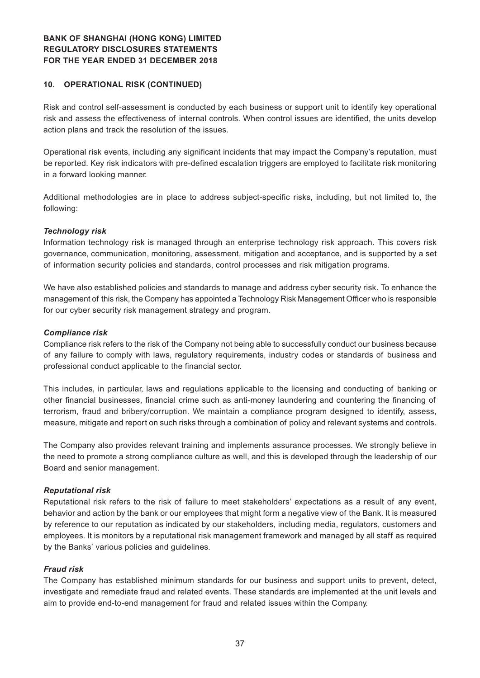#### **10. OPERATIONAL RISK (CONTINUED)**

Risk and control self-assessment is conducted by each business or support unit to identify key operational risk and assess the effectiveness of internal controls. When control issues are identified, the units develop action plans and track the resolution of the issues.

Operational risk events, including any significant incidents that may impact the Company's reputation, must be reported. Key risk indicators with pre-defined escalation triggers are employed to facilitate risk monitoring in a forward looking manner.

Additional methodologies are in place to address subject-specific risks, including, but not limited to, the following:

#### *Technology risk*

Information technology risk is managed through an enterprise technology risk approach. This covers risk governance, communication, monitoring, assessment, mitigation and acceptance, and is supported by a set of information security policies and standards, control processes and risk mitigation programs.

We have also established policies and standards to manage and address cyber security risk. To enhance the management of this risk, the Company has appointed a Technology Risk Management Officer who is responsible for our cyber security risk management strategy and program.

#### *Compliance risk*

Compliance risk refers to the risk of the Company not being able to successfully conduct our business because of any failure to comply with laws, regulatory requirements, industry codes or standards of business and professional conduct applicable to the financial sector.

This includes, in particular, laws and regulations applicable to the licensing and conducting of banking or other financial businesses, financial crime such as anti-money laundering and countering the financing of terrorism, fraud and bribery/corruption. We maintain a compliance program designed to identify, assess, measure, mitigate and report on such risks through a combination of policy and relevant systems and controls.

The Company also provides relevant training and implements assurance processes. We strongly believe in the need to promote a strong compliance culture as well, and this is developed through the leadership of our Board and senior management.

#### *Reputational risk*

Reputational risk refers to the risk of failure to meet stakeholders' expectations as a result of any event, behavior and action by the bank or our employees that might form a negative view of the Bank. It is measured by reference to our reputation as indicated by our stakeholders, including media, regulators, customers and employees. It is monitors by a reputational risk management framework and managed by all staff as required by the Banks' various policies and guidelines.

#### *Fraud risk*

The Company has established minimum standards for our business and support units to prevent, detect, investigate and remediate fraud and related events. These standards are implemented at the unit levels and aim to provide end-to-end management for fraud and related issues within the Company.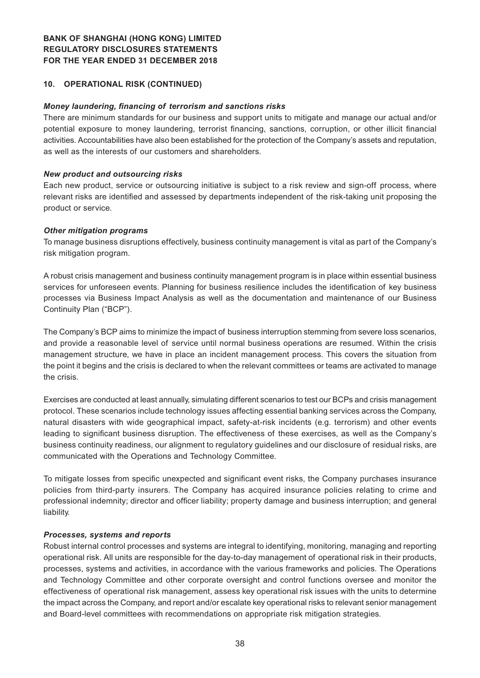#### **10. OPERATIONAL RISK (CONTINUED)**

#### *Money laundering, financing of terrorism and sanctions risks*

There are minimum standards for our business and support units to mitigate and manage our actual and/or potential exposure to money laundering, terrorist financing, sanctions, corruption, or other illicit financial activities. Accountabilities have also been established for the protection of the Company's assets and reputation, as well as the interests of our customers and shareholders.

#### *New product and outsourcing risks*

Each new product, service or outsourcing initiative is subject to a risk review and sign-off process, where relevant risks are identified and assessed by departments independent of the risk-taking unit proposing the product or service.

#### *Other mitigation programs*

To manage business disruptions effectively, business continuity management is vital as part of the Company's risk mitigation program.

A robust crisis management and business continuity management program is in place within essential business services for unforeseen events. Planning for business resilience includes the identification of key business processes via Business Impact Analysis as well as the documentation and maintenance of our Business Continuity Plan ("BCP").

The Company's BCP aims to minimize the impact of business interruption stemming from severe loss scenarios, and provide a reasonable level of service until normal business operations are resumed. Within the crisis management structure, we have in place an incident management process. This covers the situation from the point it begins and the crisis is declared to when the relevant committees or teams are activated to manage the crisis.

Exercises are conducted at least annually, simulating different scenarios to test our BCPs and crisis management protocol. These scenarios include technology issues affecting essential banking services across the Company, natural disasters with wide geographical impact, safety-at-risk incidents (e.g. terrorism) and other events leading to significant business disruption. The effectiveness of these exercises, as well as the Company's business continuity readiness, our alignment to regulatory guidelines and our disclosure of residual risks, are communicated with the Operations and Technology Committee.

To mitigate losses from specific unexpected and significant event risks, the Company purchases insurance policies from third-party insurers. The Company has acquired insurance policies relating to crime and professional indemnity; director and officer liability; property damage and business interruption; and general liability.

#### *Processes, systems and reports*

Robust internal control processes and systems are integral to identifying, monitoring, managing and reporting operational risk. All units are responsible for the day-to-day management of operational risk in their products, processes, systems and activities, in accordance with the various frameworks and policies. The Operations and Technology Committee and other corporate oversight and control functions oversee and monitor the effectiveness of operational risk management, assess key operational risk issues with the units to determine the impact across the Company, and report and/or escalate key operational risks to relevant senior management and Board-level committees with recommendations on appropriate risk mitigation strategies.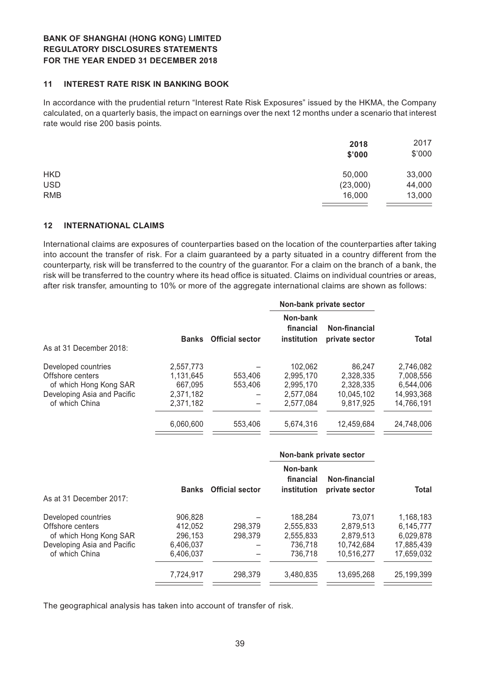#### **11 INTEREST RATE RISK IN BANKING BOOK**

In accordance with the prudential return "Interest Rate Risk Exposures" issued by the HKMA, the Company calculated, on a quarterly basis, the impact on earnings over the next 12 months under a scenario that interest rate would rise 200 basis points.

|            | 2018<br>\$'000 | 2017<br>\$'000 |
|------------|----------------|----------------|
| <b>HKD</b> | 50,000         | 33,000         |
| <b>USD</b> | (23,000)       | 44,000         |
| <b>RMB</b> | 16,000         | 13,000         |

#### **12 INTERNATIONAL CLAIMS**

International claims are exposures of counterparties based on the location of the counterparties after taking into account the transfer of risk. For a claim guaranteed by a party situated in a country different from the counterparty, risk will be transferred to the country of the guarantor. For a claim on the branch of a bank, the risk will be transferred to the country where its head office is situated. Claims on individual countries or areas, after risk transfer, amounting to 10% or more of the aggregate international claims are shown as follows:

|                             |              |                        |                                      | Non-bank private sector         |              |
|-----------------------------|--------------|------------------------|--------------------------------------|---------------------------------|--------------|
| As at 31 December 2018:     | <b>Banks</b> | <b>Official sector</b> | Non-bank<br>financial<br>institution | Non-financial<br>private sector | <b>Total</b> |
| Developed countries         | 2,557,773    |                        | 102.062                              | 86,247                          | 2,746,082    |
| Offshore centers            | 1.131.645    | 553,406                | 2.995.170                            | 2,328,335                       | 7,008,556    |
| of which Hong Kong SAR      | 667.095      | 553,406                | 2.995.170                            | 2.328.335                       | 6.544.006    |
| Developing Asia and Pacific | 2,371,182    |                        | 2.577.084                            | 10.045.102                      | 14,993,368   |
| of which China              | 2,371,182    |                        | 2.577.084                            | 9.817.925                       | 14,766,191   |
|                             | 6,060,600    | 553,406                | 5,674,316                            | 12,459,684                      | 24,748,006   |

|                                            |                    |                        | Non-bank private sector              |                                 |                        |  |
|--------------------------------------------|--------------------|------------------------|--------------------------------------|---------------------------------|------------------------|--|
| As at 31 December 2017:                    | <b>Banks</b>       | <b>Official sector</b> | Non-bank<br>financial<br>institution | Non-financial<br>private sector | <b>Total</b>           |  |
| Developed countries                        | 906.828            |                        | 188.284                              | 73.071                          | 1,168,183              |  |
| Offshore centers<br>of which Hong Kong SAR | 412.052<br>296.153 | 298.379<br>298,379     | 2.555.833<br>2.555.833               | 2.879.513<br>2.879.513          | 6.145.777<br>6,029,878 |  |
| Developing Asia and Pacific                | 6,406,037          |                        | 736,718                              | 10,742,684                      | 17,885,439             |  |
| of which China                             | 6,406,037          |                        | 736.718                              | 10.516.277                      | 17,659,032             |  |
|                                            | 7,724,917          | 298.379                | 3.480.835                            | 13.695.268                      | 25,199,399             |  |

The geographical analysis has taken into account of transfer of risk.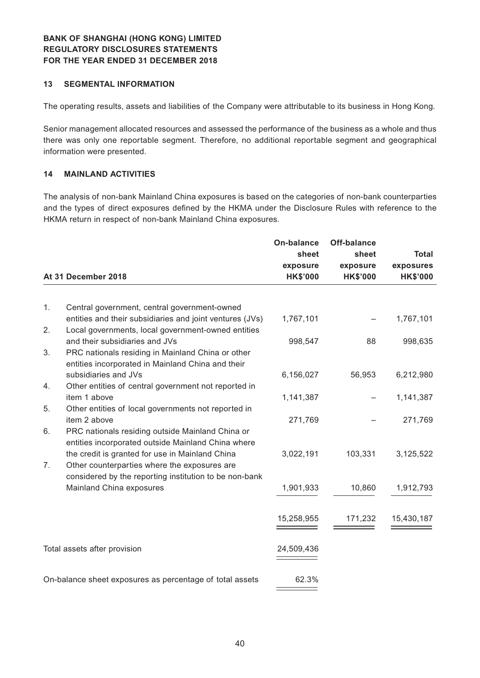#### **13 SEGMENTAL INFORMATION**

The operating results, assets and liabilities of the Company were attributable to its business in Hong Kong.

Senior management allocated resources and assessed the performance of the business as a whole and thus there was only one reportable segment. Therefore, no additional reportable segment and geographical information were presented.

#### **14 MAINLAND ACTIVITIES**

The analysis of non-bank Mainland China exposures is based on the categories of non-bank counterparties and the types of direct exposures defined by the HKMA under the Disclosure Rules with reference to the HKMA return in respect of non-bank Mainland China exposures.

|    |                                                                                                                | On-balance      | <b>Off-balance</b> |                 |  |
|----|----------------------------------------------------------------------------------------------------------------|-----------------|--------------------|-----------------|--|
|    |                                                                                                                | sheet           | sheet              | <b>Total</b>    |  |
|    |                                                                                                                | exposure        | exposure           | exposures       |  |
|    | At 31 December 2018                                                                                            | <b>HK\$'000</b> | <b>HK\$'000</b>    | <b>HK\$'000</b> |  |
|    |                                                                                                                |                 |                    |                 |  |
| 1. | Central government, central government-owned                                                                   |                 |                    |                 |  |
| 2. | entities and their subsidiaries and joint ventures (JVs)<br>Local governments, local government-owned entities | 1,767,101       |                    | 1,767,101       |  |
|    | and their subsidiaries and JVs                                                                                 | 998,547         | 88                 | 998,635         |  |
| 3. | PRC nationals residing in Mainland China or other<br>entities incorporated in Mainland China and their         |                 |                    |                 |  |
|    | subsidiaries and JVs                                                                                           | 6,156,027       | 56,953             | 6,212,980       |  |
| 4. | Other entities of central government not reported in<br>item 1 above                                           | 1,141,387       |                    | 1,141,387       |  |
| 5. | Other entities of local governments not reported in                                                            |                 |                    |                 |  |
|    | item 2 above                                                                                                   | 271,769         |                    | 271,769         |  |
| 6. | PRC nationals residing outside Mainland China or<br>entities incorporated outside Mainland China where         |                 |                    |                 |  |
|    | the credit is granted for use in Mainland China                                                                | 3,022,191       | 103,331            | 3,125,522       |  |
| 7. | Other counterparties where the exposures are<br>considered by the reporting institution to be non-bank         |                 |                    |                 |  |
|    | Mainland China exposures                                                                                       | 1,901,933       | 10,860             | 1,912,793       |  |
|    |                                                                                                                |                 |                    |                 |  |
|    |                                                                                                                | 15,258,955      | 171,232            | 15,430,187      |  |
|    |                                                                                                                |                 |                    |                 |  |
|    | Total assets after provision                                                                                   | 24,509,436      |                    |                 |  |
|    |                                                                                                                |                 |                    |                 |  |
|    | On-balance sheet exposures as percentage of total assets                                                       | 62.3%           |                    |                 |  |
|    |                                                                                                                |                 |                    |                 |  |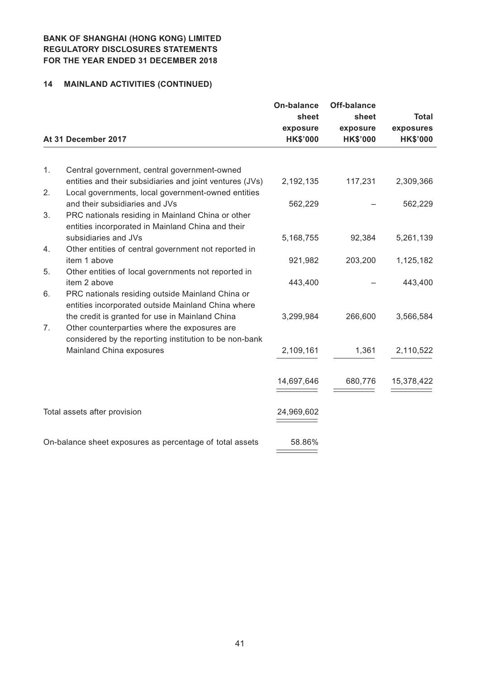# **14 MAINLAND ACTIVITIES (CONTINUED)**

|    | At 31 December 2017                                                                                      | <b>On-balance</b><br>sheet<br>exposure<br><b>HK\$'000</b> | Off-balance<br>sheet<br>exposure<br><b>HK\$'000</b> | <b>Total</b><br>exposures<br><b>HK\$'000</b> |
|----|----------------------------------------------------------------------------------------------------------|-----------------------------------------------------------|-----------------------------------------------------|----------------------------------------------|
|    |                                                                                                          |                                                           |                                                     |                                              |
| 1. | Central government, central government-owned<br>entities and their subsidiaries and joint ventures (JVs) | 2,192,135                                                 | 117,231                                             | 2,309,366                                    |
| 2. | Local governments, local government-owned entities                                                       |                                                           |                                                     |                                              |
|    | and their subsidiaries and JVs                                                                           | 562,229                                                   |                                                     | 562,229                                      |
| 3. | PRC nationals residing in Mainland China or other                                                        |                                                           |                                                     |                                              |
|    | entities incorporated in Mainland China and their<br>subsidiaries and JVs                                | 5,168,755                                                 | 92,384                                              | 5,261,139                                    |
| 4. | Other entities of central government not reported in                                                     |                                                           |                                                     |                                              |
|    | item 1 above                                                                                             | 921,982                                                   | 203,200                                             | 1,125,182                                    |
| 5. | Other entities of local governments not reported in<br>item 2 above                                      |                                                           |                                                     |                                              |
| 6. | PRC nationals residing outside Mainland China or                                                         | 443,400                                                   |                                                     | 443,400                                      |
|    | entities incorporated outside Mainland China where                                                       |                                                           |                                                     |                                              |
|    | the credit is granted for use in Mainland China                                                          | 3,299,984                                                 | 266,600                                             | 3,566,584                                    |
| 7. | Other counterparties where the exposures are                                                             |                                                           |                                                     |                                              |
|    | considered by the reporting institution to be non-bank<br>Mainland China exposures                       | 2,109,161                                                 | 1,361                                               | 2,110,522                                    |
|    |                                                                                                          |                                                           |                                                     |                                              |
|    |                                                                                                          | 14,697,646                                                | 680,776                                             | 15,378,422                                   |
|    |                                                                                                          |                                                           |                                                     |                                              |
|    | Total assets after provision                                                                             | 24,969,602                                                |                                                     |                                              |
|    |                                                                                                          |                                                           |                                                     |                                              |
|    | On-balance sheet exposures as percentage of total assets                                                 | 58.86%                                                    |                                                     |                                              |
|    |                                                                                                          |                                                           |                                                     |                                              |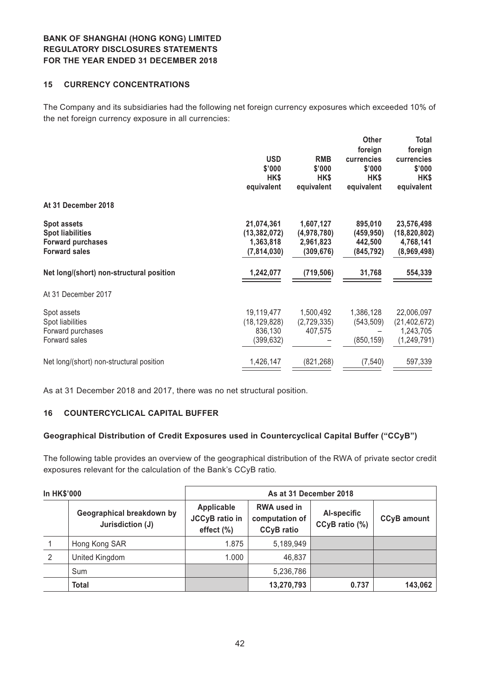#### **15 CURRENCY CONCENTRATIONS**

The Company and its subsidiaries had the following net foreign currency exposures which exceeded 10% of the net foreign currency exposure in all currencies:

|                                          |                |             | <b>Other</b> | Total          |
|------------------------------------------|----------------|-------------|--------------|----------------|
|                                          |                |             | foreign      | foreign        |
|                                          | <b>USD</b>     | <b>RMB</b>  | currencies   | currencies     |
|                                          | \$'000         | \$'000      | \$'000       | \$'000         |
|                                          | HK\$           | HK\$        | HK\$         | HK\$           |
|                                          | equivalent     | equivalent  | equivalent   | equivalent     |
| At 31 December 2018                      |                |             |              |                |
| <b>Spot assets</b>                       | 21,074,361     | 1,607,127   | 895,010      | 23,576,498     |
| <b>Spot liabilities</b>                  | (13, 382, 072) | (4,978,780) | (459, 950)   | (18, 820, 802) |
| <b>Forward purchases</b>                 | 1,363,818      | 2,961,823   | 442,500      | 4,768,141      |
| <b>Forward sales</b>                     | (7,814,030)    | (309, 676)  | (845, 792)   | (8,969,498)    |
| Net long/(short) non-structural position | 1,242,077      | (719, 506)  | 31,768       | 554,339        |
| At 31 December 2017                      |                |             |              |                |
| Spot assets                              | 19,119,477     | 1,500,492   | 1,386,128    | 22,006,097     |
| Spot liabilities                         | (18, 129, 828) | (2,729,335) | (543, 509)   | (21, 402, 672) |
| Forward purchases                        | 836,130        | 407,575     |              | 1,243,705      |
| Forward sales                            | (399, 632)     |             | (850, 159)   | (1, 249, 791)  |
| Net long/(short) non-structural position | 1,426,147      | (821, 268)  | (7, 540)     | 597,339        |
|                                          |                |             |              |                |

As at 31 December 2018 and 2017, there was no net structural position.

#### **16 COUNTERCYCLICAL CAPITAL BUFFER**

#### **Geographical Distribution of Credit Exposures used in Countercyclical Capital Buffer ("CCyB")**

The following table provides an overview of the geographical distribution of the RWA of private sector credit exposures relevant for the calculation of the Bank's CCyB ratio.

| <b>In HK\$'000</b> |                                               | As at 31 December 2018                               |                                                           |                               |                    |
|--------------------|-----------------------------------------------|------------------------------------------------------|-----------------------------------------------------------|-------------------------------|--------------------|
|                    | Geographical breakdown by<br>Jurisdiction (J) | Applicable<br><b>JCCyB</b> ratio in<br>effect $(\%)$ | <b>RWA used in</b><br>computation of<br><b>CCyB</b> ratio | Al-specific<br>CCyB ratio (%) | <b>CCyB</b> amount |
|                    | Hong Kong SAR                                 | 1.875                                                | 5,189,949                                                 |                               |                    |
| 2                  | United Kingdom                                | 1.000                                                | 46,837                                                    |                               |                    |
|                    | Sum                                           |                                                      | 5,236,786                                                 |                               |                    |
|                    | <b>Total</b>                                  |                                                      | 13,270,793                                                | 0.737                         | 143,062            |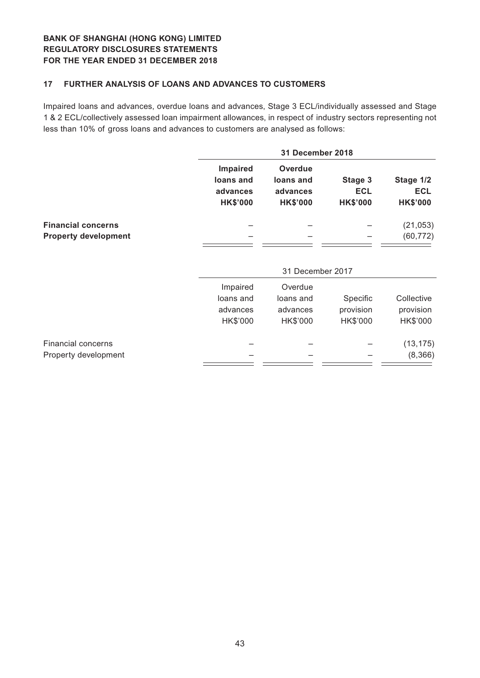### **17 FURTHER ANALYSIS OF LOANS AND ADVANCES TO CUSTOMERS**

Impaired loans and advances, overdue loans and advances, Stage 3 ECL/individually assessed and Stage 1 & 2 ECL/collectively assessed loan impairment allowances, in respect of industry sectors representing not less than 10% of gross loans and advances to customers are analysed as follows:

|                                                          | 31 December 2018                                     |                                                            |                                          |                                            |  |
|----------------------------------------------------------|------------------------------------------------------|------------------------------------------------------------|------------------------------------------|--------------------------------------------|--|
|                                                          | Impaired<br>loans and<br>advances<br><b>HK\$'000</b> | <b>Overdue</b><br>loans and<br>advances<br><b>HK\$'000</b> | Stage 3<br><b>ECL</b><br><b>HK\$'000</b> | Stage 1/2<br><b>ECL</b><br><b>HK\$'000</b> |  |
| <b>Financial concerns</b><br><b>Property development</b> |                                                      |                                                            |                                          | (21, 053)<br>(60, 772)                     |  |
|                                                          | 31 December 2017                                     |                                                            |                                          |                                            |  |
|                                                          | Impaired                                             | Overdue                                                    |                                          |                                            |  |
|                                                          | loans and                                            | loans and                                                  | Specific                                 | Collective                                 |  |
|                                                          | advances                                             | advances                                                   | provision                                | provision                                  |  |
|                                                          | HK\$'000                                             | HK\$'000                                                   | HK\$'000                                 | HK\$'000                                   |  |
| <b>Financial concerns</b>                                |                                                      |                                                            |                                          | (13, 175)                                  |  |
| Property development                                     |                                                      |                                                            |                                          | (8,366)                                    |  |